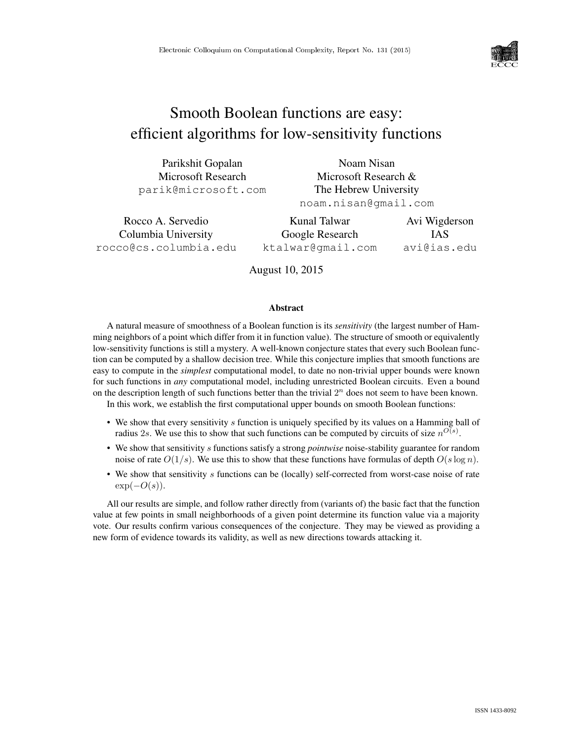

# Smooth Boolean functions are easy: efficient algorithms for low-sensitivity functions

| Parikshit Gopalan   | Noam Nisan            |  |  |
|---------------------|-----------------------|--|--|
| Microsoft Research  | Microsoft Research &  |  |  |
| parik@microsoft.com | The Hebrew University |  |  |
|                     | noam.nisan@gmail.com  |  |  |

| Rocco A. Servedio     | Kunal Talwar      | Avi Wigderson |
|-----------------------|-------------------|---------------|
| Columbia University   | Google Research   | <b>IAS</b>    |
| rocco@cs.columbia.edu | ktalwar@qmail.com | avi@ias.edu   |

August 10, 2015

#### Abstract

A natural measure of smoothness of a Boolean function is its *sensitivity* (the largest number of Hamming neighbors of a point which differ from it in function value). The structure of smooth or equivalently low-sensitivity functions is still a mystery. A well-known conjecture states that every such Boolean function can be computed by a shallow decision tree. While this conjecture implies that smooth functions are easy to compute in the *simplest* computational model, to date no non-trivial upper bounds were known for such functions in *any* computational model, including unrestricted Boolean circuits. Even a bound on the description length of such functions better than the trivial  $2<sup>n</sup>$  does not seem to have been known.

In this work, we establish the first computational upper bounds on smooth Boolean functions:

- We show that every sensitivity  $s$  function is uniquely specified by its values on a Hamming ball of radius 2s. We use this to show that such functions can be computed by circuits of size  $n^{O(s)}$ .
- We show that sensitivity s functions satisfy a strong *pointwise* noise-stability guarantee for random noise of rate  $O(1/s)$ . We use this to show that these functions have formulas of depth  $O(s \log n)$ .
- We show that sensitivity s functions can be (locally) self-corrected from worst-case noise of rate  $\exp(-O(s)).$

All our results are simple, and follow rather directly from (variants of) the basic fact that the function value at few points in small neighborhoods of a given point determine its function value via a majority vote. Our results confirm various consequences of the conjecture. They may be viewed as providing a new form of evidence towards its validity, as well as new directions towards attacking it.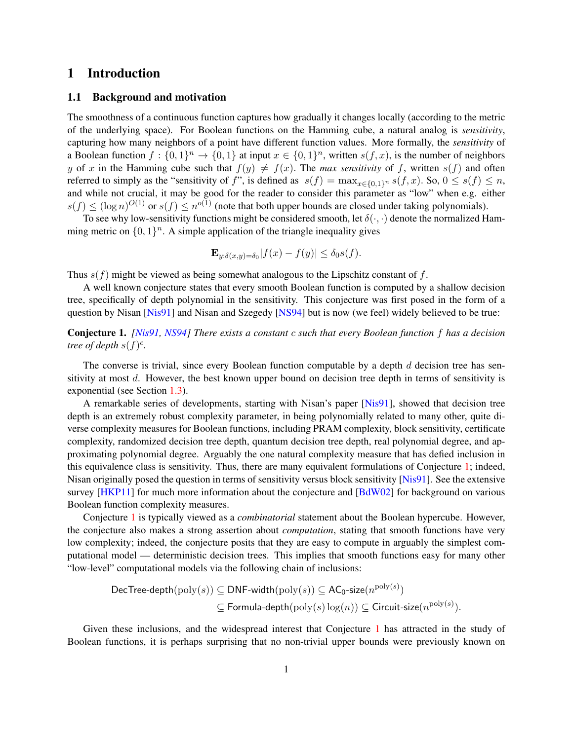# 1 Introduction

#### <span id="page-1-1"></span>1.1 Background and motivation

The smoothness of a continuous function captures how gradually it changes locally (according to the metric of the underlying space). For Boolean functions on the Hamming cube, a natural analog is *sensitivity*, capturing how many neighbors of a point have different function values. More formally, the *sensitivity* of a Boolean function  $f: \{0,1\}^n \to \{0,1\}$  at input  $x \in \{0,1\}^n$ , written  $s(f, x)$ , is the number of neighbors y of x in the Hamming cube such that  $f(y) \neq f(x)$ . The *max sensitivity* of f, written  $s(f)$  and often referred to simply as the "sensitivity of f", is defined as  $s(f) = \max_{x \in \{0,1\}^n} s(f, x)$ . So,  $0 \le s(f) \le n$ , and while not crucial, it may be good for the reader to consider this parameter as "low" when e.g. either  $s(f) \leq (\log n)^{O(1)}$  or  $s(f) \leq n^{O(1)}$  (note that both upper bounds are closed under taking polynomials).

To see why low-sensitivity functions might be considered smooth, let  $\delta(\cdot, \cdot)$  denote the normalized Hamming metric on  $\{0,1\}^n$ . A simple application of the triangle inequality gives

$$
\mathbf{E}_{y:\delta(x,y)=\delta_0}|f(x)-f(y)|\leq \delta_0s(f).
$$

Thus  $s(f)$  might be viewed as being somewhat analogous to the Lipschitz constant of f.

A well known conjecture states that every smooth Boolean function is computed by a shallow decision tree, specifically of depth polynomial in the sensitivity. This conjecture was first posed in the form of a question by Nisan [\[Nis91\]](#page-20-0) and Nisan and Szegedy [\[NS94\]](#page-20-1) but is now (we feel) widely believed to be true:

<span id="page-1-0"></span>Conjecture 1. *[\[Nis91,](#page-20-0) [NS94\]](#page-20-1) There exists a constant* c *such that every Boolean function* f *has a decision tree of depth*  $s(f)^c$ .

The converse is trivial, since every Boolean function computable by a depth  $d$  decision tree has sensitivity at most d. However, the best known upper bound on decision tree depth in terms of sensitivity is exponential (see Section [1.3\)](#page-4-0).

A remarkable series of developments, starting with Nisan's paper [\[Nis91\]](#page-20-0), showed that decision tree depth is an extremely robust complexity parameter, in being polynomially related to many other, quite diverse complexity measures for Boolean functions, including PRAM complexity, block sensitivity, certificate complexity, randomized decision tree depth, quantum decision tree depth, real polynomial degree, and approximating polynomial degree. Arguably the one natural complexity measure that has defied inclusion in this equivalence class is sensitivity. Thus, there are many equivalent formulations of Conjecture [1;](#page-1-0) indeed, Nisan originally posed the question in terms of sensitivity versus block sensitivity [\[Nis91\]](#page-20-0). See the extensive survey [\[HKP11\]](#page-20-2) for much more information about the conjecture and [\[BdW02\]](#page-19-0) for background on various Boolean function complexity measures.

Conjecture [1](#page-1-0) is typically viewed as a *combinatorial* statement about the Boolean hypercube. However, the conjecture also makes a strong assertion about *computation*, stating that smooth functions have very low complexity; indeed, the conjecture posits that they are easy to compute in arguably the simplest computational model — deterministic decision trees. This implies that smooth functions easy for many other "low-level" computational models via the following chain of inclusions:

$$
\begin{aligned} \mathsf{DecTree\text{-}depth}(\mathrm{poly}(s)) &\subseteq \mathsf{DNF\text{-}width}(\mathrm{poly}(s)) \subseteq \mathsf{AC_0\text{-}size}(n^{\mathrm{poly}(s)}) \\ &\subseteq \mathsf{Formula\text{-}depth}(\mathrm{poly}(s)\log(n)) \subseteq \mathsf{Circuit\text{-}size}(n^{\mathrm{poly}(s)}). \end{aligned}
$$

Given these inclusions, and the widespread interest that Conjecture [1](#page-1-0) has attracted in the study of Boolean functions, it is perhaps surprising that no non-trivial upper bounds were previously known on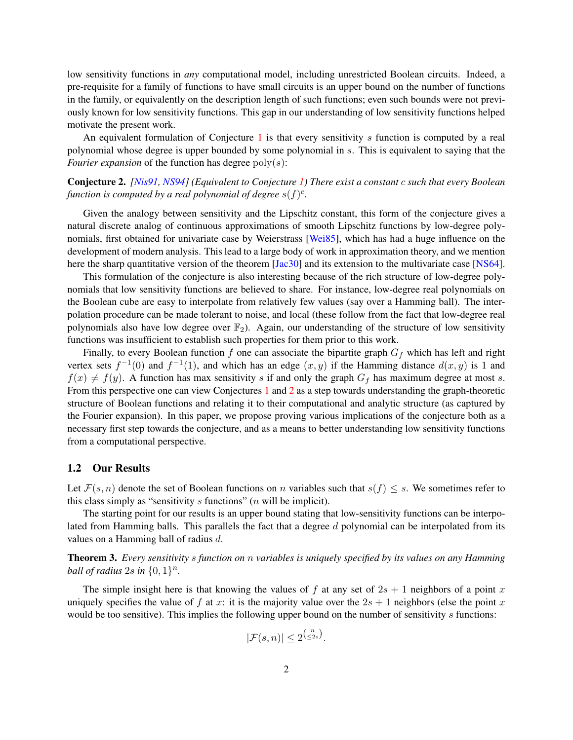low sensitivity functions in *any* computational model, including unrestricted Boolean circuits. Indeed, a pre-requisite for a family of functions to have small circuits is an upper bound on the number of functions in the family, or equivalently on the description length of such functions; even such bounds were not previously known for low sensitivity functions. This gap in our understanding of low sensitivity functions helped motivate the present work.

An equivalent formulation of Conjecture  $1$  is that every sensitivity s function is computed by a real polynomial whose degree is upper bounded by some polynomial in s. This is equivalent to saying that the *Fourier expansion* of the function has degree  $poly(s)$ :

### <span id="page-2-0"></span>Conjecture 2. *[\[Nis91,](#page-20-0) [NS94\]](#page-20-1) (Equivalent to Conjecture [1\)](#page-1-0) There exist a constant* c *such that every Boolean function is computed by a real polynomial of degree*  $s(f)^c$ .

Given the analogy between sensitivity and the Lipschitz constant, this form of the conjecture gives a natural discrete analog of continuous approximations of smooth Lipschitz functions by low-degree poly-nomials, first obtained for univariate case by Weierstrass [\[Wei85\]](#page-20-3), which has had a huge influence on the development of modern analysis. This lead to a large body of work in approximation theory, and we mention here the sharp quantitative version of the theorem [\[Jac30\]](#page-20-4) and its extension to the multivariate case [\[NS64\]](#page-20-5).

This formulation of the conjecture is also interesting because of the rich structure of low-degree polynomials that low sensitivity functions are believed to share. For instance, low-degree real polynomials on the Boolean cube are easy to interpolate from relatively few values (say over a Hamming ball). The interpolation procedure can be made tolerant to noise, and local (these follow from the fact that low-degree real polynomials also have low degree over  $\mathbb{F}_2$ ). Again, our understanding of the structure of low sensitivity functions was insufficient to establish such properties for them prior to this work.

Finally, to every Boolean function f one can associate the bipartite graph  $G_f$  which has left and right vertex sets  $f^{-1}(0)$  and  $f^{-1}(1)$ , and which has an edge  $(x, y)$  if the Hamming distance  $d(x, y)$  is 1 and  $f(x) \neq f(y)$ . A function has max sensitivity s if and only the graph  $G_f$  has maximum degree at most s. From this perspective one can view Conjectures [1](#page-1-0) and [2](#page-2-0) as a step towards understanding the graph-theoretic structure of Boolean functions and relating it to their computational and analytic structure (as captured by the Fourier expansion). In this paper, we propose proving various implications of the conjecture both as a necessary first step towards the conjecture, and as a means to better understanding low sensitivity functions from a computational perspective.

#### 1.2 Our Results

Let  $\mathcal{F}(s,n)$  denote the set of Boolean functions on n variables such that  $s(f) \leq s$ . We sometimes refer to this class simply as "sensitivity  $s$  functions" ( $n$  will be implicit).

The starting point for our results is an upper bound stating that low-sensitivity functions can be interpolated from Hamming balls. This parallels the fact that a degree d polynomial can be interpolated from its values on a Hamming ball of radius d.

<span id="page-2-1"></span>Theorem 3. *Every sensitivity* s *function on* n *variables is uniquely specified by its values on any Hamming* ball of radius  $2s$  in  $\{0,1\}^n$ .

The simple insight here is that knowing the values of f at any set of  $2s + 1$  neighbors of a point x uniquely specifies the value of f at x: it is the majority value over the  $2s + 1$  neighbors (else the point x would be too sensitive). This implies the following upper bound on the number of sensitivity  $s$  functions:

$$
|\mathcal{F}(s,n)| \le 2^{\binom{n}{\le 2s}}.
$$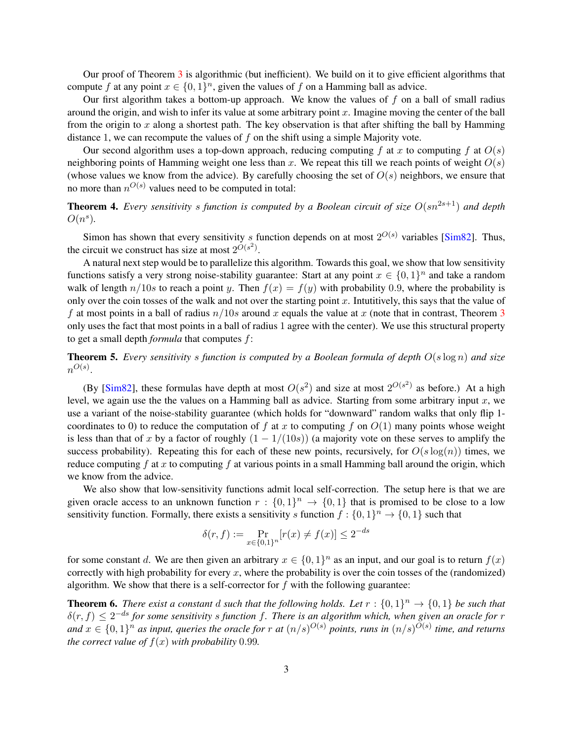Our proof of Theorem [3](#page-2-1) is algorithmic (but inefficient). We build on it to give efficient algorithms that compute f at any point  $x \in \{0,1\}^n$ , given the values of f on a Hamming ball as advice.

Our first algorithm takes a bottom-up approach. We know the values of  $f$  on a ball of small radius around the origin, and wish to infer its value at some arbitrary point  $x$ . Imagine moving the center of the ball from the origin to x along a shortest path. The key observation is that after shifting the ball by Hamming distance 1, we can recompute the values of  $f$  on the shift using a simple Majority vote.

Our second algorithm uses a top-down approach, reducing computing f at x to computing f at  $O(s)$ neighboring points of Hamming weight one less than x. We repeat this till we reach points of weight  $O(s)$ (whose values we know from the advice). By carefully choosing the set of  $O(s)$  neighbors, we ensure that no more than  $n^{O(s)}$  values need to be computed in total:

<span id="page-3-0"></span>**Theorem 4.** *Every sensitivity s function is computed by a Boolean circuit of size*  $O(sn^{2s+1})$  *and depth*  $O(n^s)$ .

Simon has shown that every sensitivity s function depends on at most  $2^{O(s)}$  variables [\[Sim82\]](#page-20-6). Thus, the circuit we construct has size at most  $2^{O(s^2)}$ .

A natural next step would be to parallelize this algorithm. Towards this goal, we show that low sensitivity functions satisfy a very strong noise-stability guarantee: Start at any point  $x \in \{0,1\}^n$  and take a random walk of length  $n/10s$  to reach a point y. Then  $f(x) = f(y)$  with probability 0.9, where the probability is only over the coin tosses of the walk and not over the starting point  $x$ . Intuitively, this says that the value of f at most points in a ball of radius  $n/10s$  around x equals the value at x (note that in contrast, Theorem [3](#page-2-1) only uses the fact that most points in a ball of radius 1 agree with the center). We use this structural property to get a small depth *formula* that computes f:

<span id="page-3-1"></span>Theorem 5. *Every sensitivity* s *function is computed by a Boolean formula of depth* O(s log n) *and size*  $n^{O(s)}$ .

(By [\[Sim82\]](#page-20-6), these formulas have depth at most  $O(s^2)$  and size at most  $2^{O(s^2)}$  as before.) At a high level, we again use the the values on a Hamming ball as advice. Starting from some arbitrary input  $x$ , we use a variant of the noise-stability guarantee (which holds for "downward" random walks that only flip 1 coordinates to 0) to reduce the computation of f at x to computing f on  $O(1)$  many points whose weight is less than that of x by a factor of roughly  $(1 - 1/(10s))$  (a majority vote on these serves to amplify the success probability). Repeating this for each of these new points, recursively, for  $O(s \log(n))$  times, we reduce computing  $f$  at  $x$  to computing  $f$  at various points in a small Hamming ball around the origin, which we know from the advice.

We also show that low-sensitivity functions admit local self-correction. The setup here is that we are given oracle access to an unknown function  $r: \{0,1\}^n \to \{0,1\}$  that is promised to be close to a low sensitivity function. Formally, there exists a sensitivity s function  $f: \{0,1\}^n \to \{0,1\}$  such that

$$
\delta(r, f) := \Pr_{x \in \{0, 1\}^n} [r(x) \neq f(x)] \le 2^{-ds}
$$

for some constant d. We are then given an arbitrary  $x \in \{0,1\}^n$  as an input, and our goal is to return  $f(x)$ correctly with high probability for every x, where the probability is over the coin tosses of the (randomized) algorithm. We show that there is a self-corrector for  $f$  with the following guarantee:

<span id="page-3-2"></span>**Theorem 6.** There exist a constant d such that the following holds. Let  $r : \{0,1\}^n \to \{0,1\}$  be such that  $\delta(r, f) \leq 2^{-ds}$  for some sensitivity s function f. There is an algorithm which, when given an oracle for r and  $x \in \{0,1\}^n$  as input, queries the oracle for r at  $(n/s)^{O(s)}$  points, runs in  $(n/s)^{O(s)}$  time, and returns *the correct value of*  $f(x)$  *with probability* 0.99*.*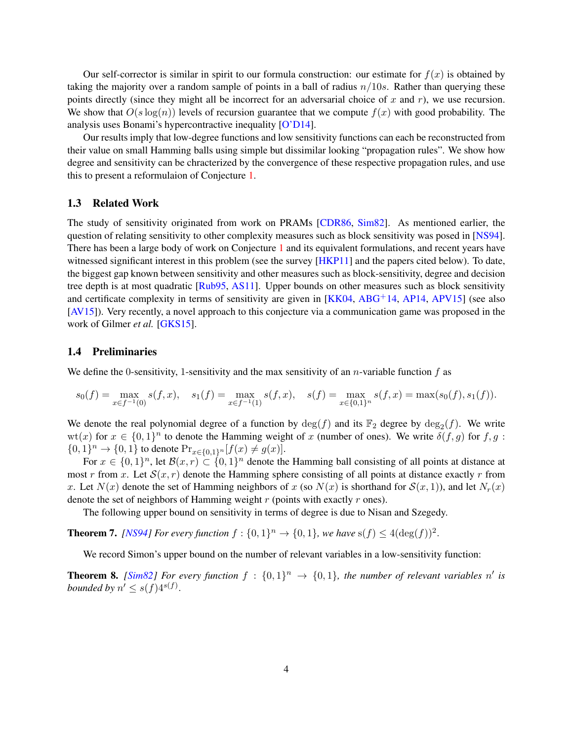Our self-corrector is similar in spirit to our formula construction: our estimate for  $f(x)$  is obtained by taking the majority over a random sample of points in a ball of radius  $n/10s$ . Rather than querying these points directly (since they might all be incorrect for an adversarial choice of x and  $r$ ), we use recursion. We show that  $O(s \log(n))$  levels of recursion guarantee that we compute  $f(x)$  with good probability. The analysis uses Bonami's hypercontractive inequality [\[O'D14\]](#page-20-7).

Our results imply that low-degree functions and low sensitivity functions can each be reconstructed from their value on small Hamming balls using simple but dissimilar looking "propagation rules". We show how degree and sensitivity can be chracterized by the convergence of these respective propagation rules, and use this to present a reformulaion of Conjecture [1.](#page-1-0)

#### <span id="page-4-0"></span>1.3 Related Work

The study of sensitivity originated from work on PRAMs [\[CDR86,](#page-19-1) [Sim82\]](#page-20-6). As mentioned earlier, the question of relating sensitivity to other complexity measures such as block sensitivity was posed in [\[NS94\]](#page-20-1). There has been a large body of work on Conjecture [1](#page-1-0) and its equivalent formulations, and recent years have witnessed significant interest in this problem (see the survey [\[HKP11\]](#page-20-2) and the papers cited below). To date, the biggest gap known between sensitivity and other measures such as block-sensitivity, degree and decision tree depth is at most quadratic [\[Rub95,](#page-20-8) [AS11\]](#page-19-2). Upper bounds on other measures such as block sensitivity and certificate complexity in terms of sensitivity are given in  $[KK04, ABG<sup>+</sup>14, AP14, APV15]$  $[KK04, ABG<sup>+</sup>14, AP14, APV15]$  $[KK04, ABG<sup>+</sup>14, AP14, APV15]$  $[KK04, ABG<sup>+</sup>14, AP14, APV15]$  $[KK04, ABG<sup>+</sup>14, AP14, APV15]$  $[KK04, ABG<sup>+</sup>14, AP14, APV15]$  $[KK04, ABG<sup>+</sup>14, AP14, APV15]$  (see also [\[AV15\]](#page-19-6)). Very recently, a novel approach to this conjecture via a communication game was proposed in the work of Gilmer *et al.* [\[GKS15\]](#page-20-10).

#### 1.4 Preliminaries

We define the 0-sensitivity, 1-sensitivity and the max sensitivity of an *n*-variable function f as

$$
s_0(f) = \max_{x \in f^{-1}(0)} s(f, x), \quad s_1(f) = \max_{x \in f^{-1}(1)} s(f, x), \quad s(f) = \max_{x \in \{0, 1\}^n} s(f, x) = \max(s_0(f), s_1(f)).
$$

We denote the real polynomial degree of a function by  $deg(f)$  and its  $\mathbb{F}_2$  degree by  $deg_2(f)$ . We write  $wt(x)$  for  $x \in \{0,1\}^n$  to denote the Hamming weight of x (number of ones). We write  $\delta(f, g)$  for  $f, g$ :  ${0, 1}^n \to {0, 1}$  to denote  $Pr_{x \in {0, 1}^n} [f(x) \neq g(x)]$ .

For  $x \in \{0,1\}^n$ , let  $\mathcal{B}(x,r) \subset \{0,1\}^n$  denote the Hamming ball consisting of all points at distance at most r from x. Let  $S(x, r)$  denote the Hamming sphere consisting of all points at distance exactly r from x. Let  $N(x)$  denote the set of Hamming neighbors of x (so  $N(x)$  is shorthand for  $S(x, 1)$ ), and let  $N_r(x)$ denote the set of neighbors of Hamming weight  $r$  (points with exactly  $r$  ones).

The following upper bound on sensitivity in terms of degree is due to Nisan and Szegedy.

<span id="page-4-1"></span>**Theorem 7.** [\[NS94\]](#page-20-1) For every function  $f: \{0,1\}^n \to \{0,1\}$ , we have  $s(f) \leq 4(\deg(f))^2$ .

We record Simon's upper bound on the number of relevant variables in a low-sensitivity function:

<span id="page-4-2"></span>**Theorem 8.** [\[Sim82\]](#page-20-6) For every function  $f : \{0,1\}^n \rightarrow \{0,1\}$ , the number of relevant variables n' is *bounded by*  $n' \leq s(f)4^{s(f)}$ .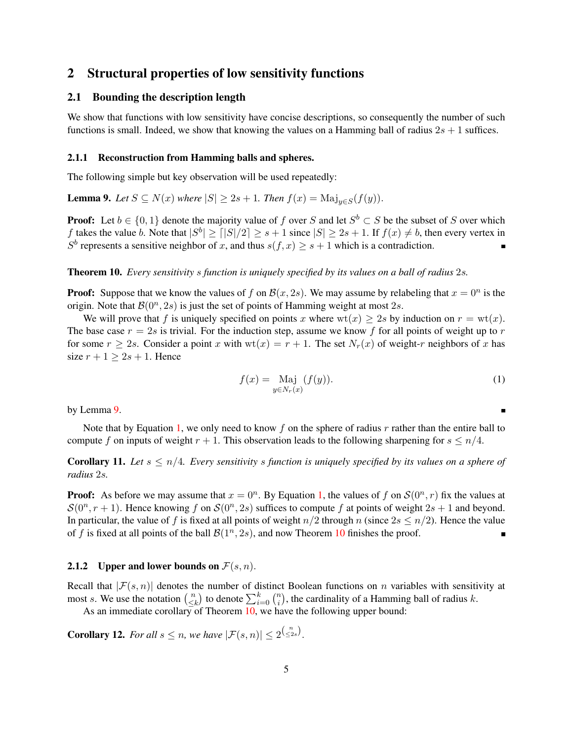# 2 Structural properties of low sensitivity functions

### 2.1 Bounding the description length

We show that functions with low sensitivity have concise descriptions, so consequently the number of such functions is small. Indeed, we show that knowing the values on a Hamming ball of radius  $2s + 1$  suffices.

#### 2.1.1 Reconstruction from Hamming balls and spheres.

The following simple but key observation will be used repeatedly:

<span id="page-5-0"></span>**Lemma 9.** *Let*  $S \subseteq N(x)$  *where*  $|S| \ge 2s + 1$ *. Then*  $f(x) = \text{Maj}_{y \in S}(f(y))$ *.* 

**Proof:** Let  $b \in \{0, 1\}$  denote the majority value of f over S and let  $S^b \subset S$  be the subset of S over which f takes the value b. Note that  $|S^b| \geq |S|/2 \geq s+1$  since  $|S| \geq 2s+1$ . If  $f(x) \neq b$ , then every vertex in  $S^b$  represents a sensitive neighbor of x, and thus  $s(f, x) \geq s + 1$  which is a contradiction.

<span id="page-5-2"></span>Theorem 10. *Every sensitivity* s *function is uniquely specified by its values on a ball of radius* 2s*.*

**Proof:** Suppose that we know the values of f on  $\mathcal{B}(x, 2s)$ . We may assume by relabeling that  $x = 0^n$  is the origin. Note that  $\mathcal{B}(0^n, 2s)$  is just the set of points of Hamming weight at most 2s.

We will prove that f is uniquely specified on points x where  $wt(x) \ge 2s$  by induction on  $r = wt(x)$ . The base case  $r = 2s$  is trivial. For the induction step, assume we know f for all points of weight up to r for some  $r \geq 2s$ . Consider a point x with  $wt(x) = r + 1$ . The set  $N_r(x)$  of weight-r neighbors of x has size  $r + 1 > 2s + 1$ . Hence

$$
f(x) = \underset{y \in N_r(x)}{\text{Maj}} (f(y)).\tag{1}
$$

by Lemma [9.](#page-5-0)

Note that by Equation [1,](#page-5-1) we only need to know f on the sphere of radius  $r$  rather than the entire ball to compute f on inputs of weight  $r + 1$ . This observation leads to the following sharpening for  $s \leq n/4$ .

**Corollary 11.** Let  $s \leq n/4$ . Every sensitivity s function is uniquely specified by its values on a sphere of *radius* 2s*.*

**Proof:** As before we may assume that  $x = 0^n$ . By Equation [1,](#page-5-1) the values of f on  $\mathcal{S}(0^n, r)$  fix the values at  $S(0^n, r+1)$ . Hence knowing f on  $S(0^n, 2s)$  suffices to compute f at points of weight  $2s + 1$  and beyond. In particular, the value of f is fixed at all points of weight  $n/2$  through n (since  $2s \le n/2$ ). Hence the value of f is fixed at all points of the ball  $\mathcal{B}(1^n, 2s)$ , and now Theorem [10](#page-5-2) finishes the proof.

#### 2.1.2 Upper and lower bounds on  $\mathcal{F}(s,n)$ .

Recall that  $|\mathcal{F}(s, n)|$  denotes the number of distinct Boolean functions on n variables with sensitivity at most s. We use the notation  $\binom{n}{\leq n}$  $\binom{n}{\leq k}$  to denote  $\sum_{i=0}^{k} \binom{n}{i}$  $\binom{n}{i}$ , the cardinality of a Hamming ball of radius k.

As an immediate corollary of Theorem  $10$ , we have the following upper bound:

<span id="page-5-3"></span>**Corollary 12.** For all  $s \leq n$ , we have  $|\mathcal{F}(s, n)| \leq 2^{\binom{n}{\leq 2s}}$ .

<span id="page-5-1"></span>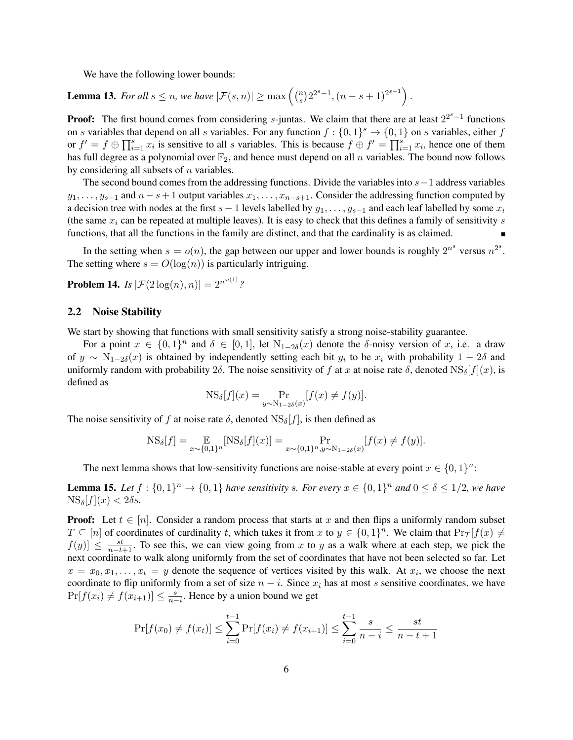We have the following lower bounds:

**Lemma 13.** For all  $s \leq n$ , we have  $|\mathcal{F}(s, n)| \geq \max\left(\binom{n}{s}\right)$  $\binom{n}{s} 2^{2^s-1}, (n-s+1)^{2^{s-1}}.$ 

**Proof:** The first bound comes from considering s-juntas. We claim that there are at least  $2^{2^s-1}$  functions on s variables that depend on all s variables. For any function  $f: \{0,1\}^s \to \{0,1\}$  on s variables, either f or  $f' = f \oplus \prod_{i=1}^{s} x_i$  is sensitive to all s variables. This is because  $f \oplus f' = \prod_{i=1}^{s} x_i$ , hence one of them has full degree as a polynomial over  $\mathbb{F}_2$ , and hence must depend on all n variables. The bound now follows by considering all subsets of  $n$  variables.

The second bound comes from the addressing functions. Divide the variables into  $s-1$  address variables  $y_1, \ldots, y_{s-1}$  and  $n - s + 1$  output variables  $x_1, \ldots, x_{n-s+1}$ . Consider the addressing function computed by a decision tree with nodes at the first  $s - 1$  levels labelled by  $y_1, \ldots, y_{s-1}$  and each leaf labelled by some  $x_i$ (the same  $x_i$  can be repeated at multiple leaves). It is easy to check that this defines a family of sensitivity s functions, that all the functions in the family are distinct, and that the cardinality is as claimed.

In the setting when  $s = o(n)$ , the gap between our upper and lower bounds is roughly  $2^{n^s}$  versus  $n^{2^s}$ . The setting where  $s = O(\log(n))$  is particularly intriguing.

<span id="page-6-1"></span>**Problem 14.** *Is*  $|\mathcal{F}(2\log(n), n)| = 2^{n^{\omega(1)}}$ ?

#### 2.2 Noise Stability

We start by showing that functions with small sensitivity satisfy a strong noise-stability guarantee.

For a point  $x \in \{0,1\}^n$  and  $\delta \in [0,1]$ , let  $N_{1-2\delta}(x)$  denote the  $\delta$ -noisy version of x, i.e. a draw of  $y \sim N_{1-2\delta}(x)$  is obtained by independently setting each bit  $y_i$  to be  $x_i$  with probability  $1-2\delta$  and uniformly random with probability 2 $\delta$ . The noise sensitivity of f at x at noise rate  $\delta$ , denoted  $\text{NS}_{\delta}[f](x)$ , is defined as

$$
NS_{\delta}[f](x) = \Pr_{y \sim N_{1-2\delta}(x)}[f(x) \neq f(y)].
$$

The noise sensitivity of f at noise rate  $\delta$ , denoted  $NS_{\delta}[f]$ , is then defined as

$$
NS_{\delta}[f] = \mathop{\mathbb{E}}_{x \sim \{0,1\}^n} [NS_{\delta}[f](x)] = \Pr_{x \sim \{0,1\}^n, y \sim N_{1-2\delta}(x)} [f(x) \neq f(y)].
$$

The next lemma shows that low-sensitivity functions are noise-stable at every point  $x \in \{0,1\}^n$ :

<span id="page-6-0"></span>**Lemma 15.** Let  $f : \{0,1\}^n \to \{0,1\}$  have sensitivity s. For every  $x \in \{0,1\}^n$  and  $0 \le \delta \le 1/2$ , we have  $\text{NS}_{\delta}[f](x) < 2\delta s.$ 

**Proof:** Let  $t \in [n]$ . Consider a random process that starts at x and then flips a uniformly random subset  $T \subseteq [n]$  of coordinates of cardinality t, which takes it from x to  $y \in \{0,1\}^n$ . We claim that  $\Pr_T[f(x) \neq 0]$  $f(y)$   $\leq \frac{st}{n-t+1}$ . To see this, we can view going from x to y as a walk where at each step, we pick the next coordinate to walk along uniformly from the set of coordinates that have not been selected so far. Let  $x = x_0, x_1, \ldots, x_t = y$  denote the sequence of vertices visited by this walk. At  $x_i$ , we choose the next coordinate to flip uniformly from a set of size  $n - i$ . Since  $x_i$  has at most s sensitive coordinates, we have  $Pr[f(x_i) \neq f(x_{i+1})] \leq \frac{s}{n-i}$ . Hence by a union bound we get

$$
\Pr[f(x_0) \neq f(x_t)] \le \sum_{i=0}^{t-1} \Pr[f(x_i) \neq f(x_{i+1})] \le \sum_{i=0}^{t-1} \frac{s}{n-i} \le \frac{st}{n-t+1}
$$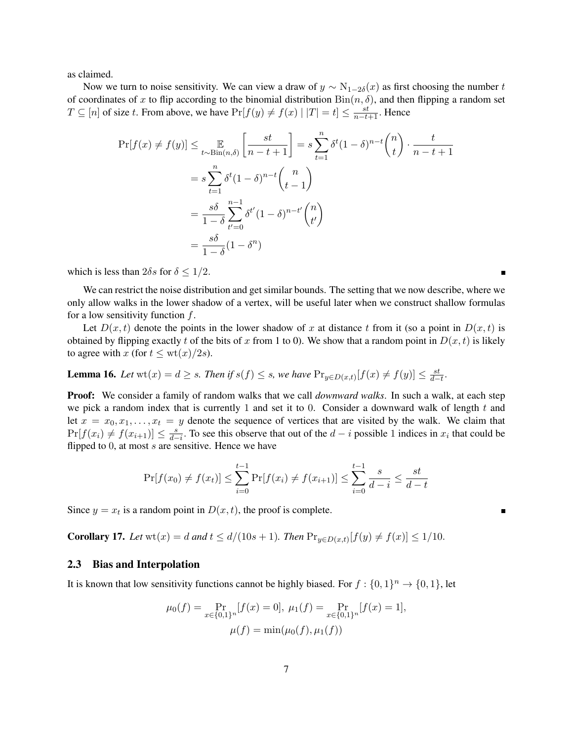as claimed.

Now we turn to noise sensitivity. We can view a draw of  $y \sim N_{1-2\delta}(x)$  as first choosing the number t of coordinates of x to flip according to the binomial distribution  $Bin(n, \delta)$ , and then flipping a random set  $T \subseteq [n]$  of size t. From above, we have  $Pr[f(y) \neq f(x) | |T| = t] \le \frac{st}{n-t+1}$ . Hence

$$
\Pr[f(x) \neq f(y)] \leq \mathop{\mathbb{E}}_{t \sim \text{Bin}(n,\delta)} \left[ \frac{st}{n-t+1} \right] = s \sum_{t=1}^{n} \delta^t (1-\delta)^{n-t} {n \choose t} \cdot \frac{t}{n-t+1}
$$

$$
= s \sum_{t=1}^{n} \delta^t (1-\delta)^{n-t} {n \choose t-1}
$$

$$
= \frac{s\delta}{1-\delta} \sum_{t'=0}^{n-1} \delta^{t'} (1-\delta)^{n-t'} {n \choose t'}
$$

$$
= \frac{s\delta}{1-\delta} (1-\delta^n)
$$

which is less than  $2\delta s$  for  $\delta \leq 1/2$ .

We can restrict the noise distribution and get similar bounds. The setting that we now describe, where we only allow walks in the lower shadow of a vertex, will be useful later when we construct shallow formulas for a low sensitivity function  $f$ .

Let  $D(x, t)$  denote the points in the lower shadow of x at distance t from it (so a point in  $D(x, t)$  is obtained by flipping exactly t of the bits of x from 1 to 0). We show that a random point in  $D(x, t)$  is likely to agree with x (for  $t \leq \text{wt}(x)/2s$ ).

**Lemma 16.** Let 
$$
\text{wt}(x) = d \geq s
$$
. Then if  $s(f) \leq s$ , we have  $\Pr_{y \in D(x,t)}[f(x) \neq f(y)] \leq \frac{st}{d-t}$ .

**Proof:** We consider a family of random walks that we call *downward walks*. In such a walk, at each step we pick a random index that is currently 1 and set it to 0. Consider a downward walk of length t and let  $x = x_0, x_1, \ldots, x_t = y$  denote the sequence of vertices that are visited by the walk. We claim that  $Pr[f(x_i) \neq f(x_{i+1})] \leq \frac{s}{d-i}$ . To see this observe that out of the  $d-i$  possible 1 indices in  $x_i$  that could be flipped to  $0$ , at most  $s$  are sensitive. Hence we have

$$
\Pr[f(x_0) \neq f(x_t)] \le \sum_{i=0}^{t-1} \Pr[f(x_i) \neq f(x_{i+1})] \le \sum_{i=0}^{t-1} \frac{s}{d-i} \le \frac{st}{d-t}
$$

Since  $y = x_t$  is a random point in  $D(x, t)$ , the proof is complete.

<span id="page-7-0"></span>**Corollary 17.** *Let*  $wt(x) = d$  *and*  $t \le d/(10s + 1)$ *. Then*  $Pr_{y \in D(x,t)}[f(y) \ne f(x)] \le 1/10$ *.* 

#### <span id="page-7-1"></span>2.3 Bias and Interpolation

It is known that low sensitivity functions cannot be highly biased. For  $f: \{0,1\}^n \to \{0,1\}$ , let

$$
\mu_0(f) = \Pr_{x \in \{0,1\}^n} [f(x) = 0], \ \mu_1(f) = \Pr_{x \in \{0,1\}^n} [f(x) = 1],
$$

$$
\mu(f) = \min(\mu_0(f), \mu_1(f))
$$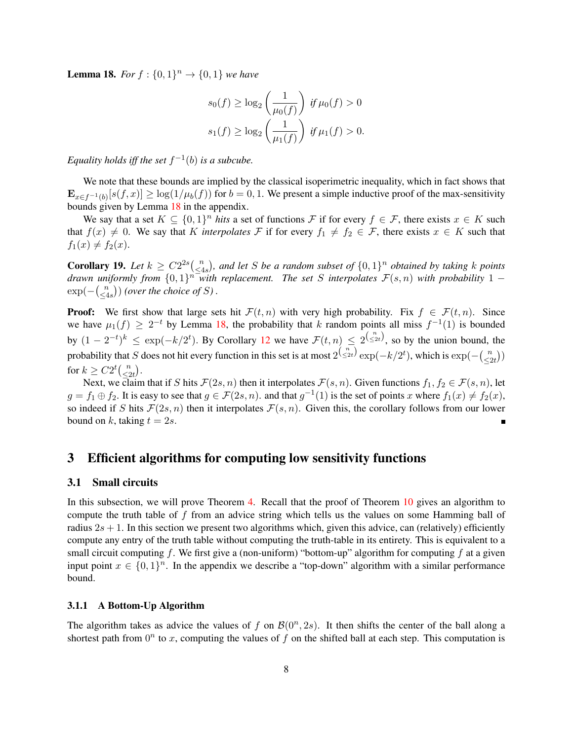<span id="page-8-0"></span>**Lemma 18.** For  $f : \{0, 1\}^n \to \{0, 1\}$  we have

$$
s_0(f) \ge \log_2\left(\frac{1}{\mu_0(f)}\right) \text{ if } \mu_0(f) > 0
$$
  

$$
s_1(f) \ge \log_2\left(\frac{1}{\mu_1(f)}\right) \text{ if } \mu_1(f) > 0.
$$

*Equality holds iff the set*  $f^{-1}(b)$  *is a subcube.* 

We note that these bounds are implied by the classical isoperimetric inequality, which in fact shows that  $\mathbf{E}_{x \in f^{-1}(b)}[s(f, x)] \ge \log(1/\mu_b(f))$  for  $b = 0, 1$ . We present a simple inductive proof of the max-sensitivity bounds given by Lemma [18](#page-8-0) in the appendix.

We say that a set  $K \subseteq \{0,1\}^n$  *hits* a set of functions F if for every  $f \in \mathcal{F}$ , there exists  $x \in K$  such that  $f(x) \neq 0$ . We say that K *interpolates* F if for every  $f_1 \neq f_2 \in \mathcal{F}$ , there exists  $x \in K$  such that  $f_1(x) \neq f_2(x)$ .

Corollary 19. Let  $k \geq C2^{2s} \binom{n}{\leq A}$  $\frac{n}{\leq 4s}$ ), and let *S* be a random subset of  $\{0,1\}^n$  obtained by taking *k* points drawn uniformly from  $\{0,1\}$ <sup>n *with replacement. The set S interpolates*  $\mathcal{F}(s,n)$  with probability 1 –</sup>  $\exp(-\left(\frac{n}{\epsilon_4}\right)$  $\binom{n}{\leq 4s}$ ) (over the choice of S).

**Proof:** We first show that large sets hit  $\mathcal{F}(t,n)$  with very high probability. Fix  $f \in \mathcal{F}(t,n)$ . Since we have  $\mu_1(f) \geq 2^{-t}$  by Lemma [18,](#page-8-0) the probability that k random points all miss  $f^{-1}(1)$  is bounded by  $(1-2^{-t})^k \leq \exp(-k/2^t)$ . By Corollary [12](#page-5-3) we have  $\mathcal{F}(t,n) \leq 2^{\binom{n}{\leq 2t}}$ , so by the union bound, the probability that S does not hit every function in this set is at most  $2^{\binom{n}{\leq 2t}} \exp(-k/2^t)$ , which is  $\exp(-\binom{n}{\leq t}$  $\binom{n}{2t}$ for  $k \geq C2^t {n \choose < s}$  $\binom{n}{2t}.$ 

Next, we claim that if S hits  $\mathcal{F}(2s, n)$  then it interpolates  $\mathcal{F}(s, n)$ . Given functions  $f_1, f_2 \in \mathcal{F}(s, n)$ , let  $g = f_1 \oplus f_2$ . It is easy to see that  $g \in \mathcal{F}(2s, n)$ . and that  $g^{-1}(1)$  is the set of points x where  $f_1(x) \neq f_2(x)$ , so indeed if S hits  $\mathcal{F}(2s, n)$  then it interpolates  $\mathcal{F}(s, n)$ . Given this, the corollary follows from our lower bound on k, taking  $t = 2s$ .

# 3 Efficient algorithms for computing low sensitivity functions

### 3.1 Small circuits

In this subsection, we will prove Theorem [4.](#page-3-0) Recall that the proof of Theorem [10](#page-5-2) gives an algorithm to compute the truth table of  $f$  from an advice string which tells us the values on some Hamming ball of radius  $2s + 1$ . In this section we present two algorithms which, given this advice, can (relatively) efficiently compute any entry of the truth table without computing the truth-table in its entirety. This is equivalent to a small circuit computing f. We first give a (non-uniform) "bottom-up" algorithm for computing f at a given input point  $x \in \{0,1\}^n$ . In the appendix we describe a "top-down" algorithm with a similar performance bound.

#### 3.1.1 A Bottom-Up Algorithm

The algorithm takes as advice the values of f on  $\mathcal{B}(0^n, 2s)$ . It then shifts the center of the ball along a shortest path from  $0^n$  to x, computing the values of f on the shifted ball at each step. This computation is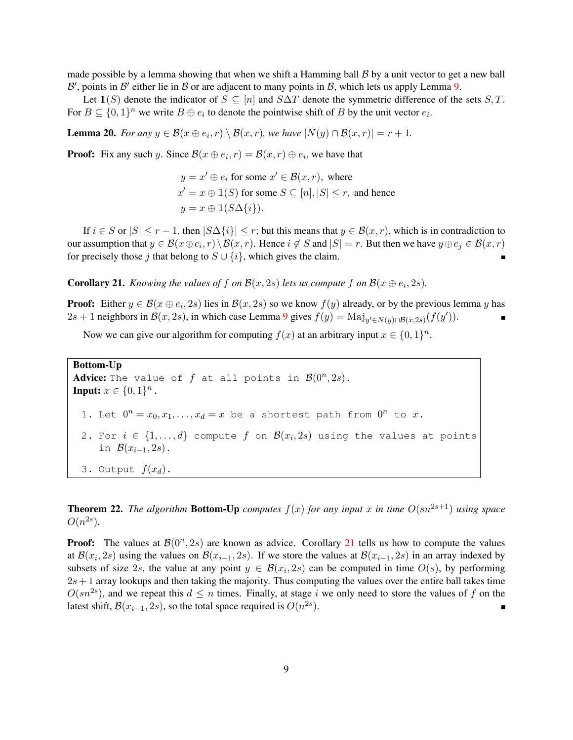made possible by a lemma showing that when we shift a Hamming ball  $\beta$  by a unit vector to get a new ball  $\mathcal{B}'$ , points in  $\mathcal{B}'$  either lie in  $\mathcal B$  or are adjacent to many points in  $\mathcal B$ , which lets us apply Lemma [9.](#page-5-0)

Let  $\mathbb{1}(S)$  denote the indicator of  $S \subseteq [n]$  and  $S\Delta T$  denote the symmetric difference of the sets  $S, T$ . For  $B \subseteq \{0,1\}^n$  we write  $B \oplus e_i$  to denote the pointwise shift of B by the unit vector  $e_i$ .

**Lemma 20.** *For any*  $y \in \mathcal{B}(x \oplus e_i, r) \setminus \mathcal{B}(x, r)$ , we have  $|N(y) \cap \mathcal{B}(x, r)| = r + 1$ *.* 

**Proof:** Fix any such y. Since  $\mathcal{B}(x \oplus e_i, r) = \mathcal{B}(x, r) \oplus e_i$ , we have that

 $y = x' \oplus e_i$  for some  $x' \in \mathcal{B}(x,r)$ , where  $x' = x \oplus \mathbb{1}(S)$  for some  $S \subseteq [n], |S| \le r$ , and hence  $y = x \oplus \mathbb{1}(S \Delta \{i\}).$ 

If  $i \in S$  or  $|S| \le r - 1$ , then  $|S\Delta\{i\}| \le r$ ; but this means that  $y \in \mathcal{B}(x, r)$ , which is in contradiction to our assumption that  $y \in \mathcal{B}(x \oplus e_i, r) \setminus \mathcal{B}(x, r)$ . Hence  $i \notin S$  and  $|S| = r$ . But then we have  $y \oplus e_j \in \mathcal{B}(x, r)$ for precisely those j that belong to  $S \cup \{i\}$ , which gives the claim.

<span id="page-9-0"></span>**Corollary 21.** *Knowing the values of f on*  $\mathcal{B}(x, 2s)$  *lets us compute f on*  $\mathcal{B}(x \oplus e_i, 2s)$ *.* 

**Proof:** Either  $y \in \mathcal{B}(x \oplus e_i, 2s)$  lies in  $\mathcal{B}(x, 2s)$  so we know  $f(y)$  already, or by the previous lemma y has 2s + 1 neighbors in  $\mathcal{B}(x, 2s)$ , in which case Lemma [9](#page-5-0) gives  $f(y) = \text{Maj}_{y' \in N(y) \cap \mathcal{B}(x, 2s)}(f(y'))$ .

Now we can give our algorithm for computing  $f(x)$  at an arbitrary input  $x \in \{0,1\}^n$ .

```
Bottom-Up
Advice: The value of f at all points in \mathcal{B}(0^n, 2s).
Input: x \in \{0, 1\}^n.
  1. Let 0^n = x_0, x_1, \ldots, x_d = x be a shortest path from 0^n to x.
  2. For i \in \{1,\ldots,d\} compute f on \mathcal{B}(x_i,2s) using the values at points
      in \mathcal{B}(x_{i-1}, 2s).
  3. Output f(x_d).
```
<span id="page-9-1"></span>**Theorem 22.** *The algorithm* **Bottom-Up** *computes*  $f(x)$  *for any input* x *in time*  $O(sn^{2s+1})$  *using space*  $O(n^{2s}).$ 

**Proof:** The values at  $\mathcal{B}(0^n, 2s)$  are known as advice. Corollary [21](#page-9-0) tells us how to compute the values at  $\mathcal{B}(x_i, 2s)$  using the values on  $\mathcal{B}(x_{i-1}, 2s)$ . If we store the values at  $\mathcal{B}(x_{i-1}, 2s)$  in an array indexed by subsets of size 2s, the value at any point  $y \in B(x_i, 2s)$  can be computed in time  $O(s)$ , by performing  $2s + 1$  array lookups and then taking the majority. Thus computing the values over the entire ball takes time  $O(sn^{2s})$ , and we repeat this  $d \leq n$  times. Finally, at stage i we only need to store the values of f on the latest shift,  $\mathcal{B}(x_{i-1}, 2s)$ , so the total space required is  $O(n^{2s})$ . п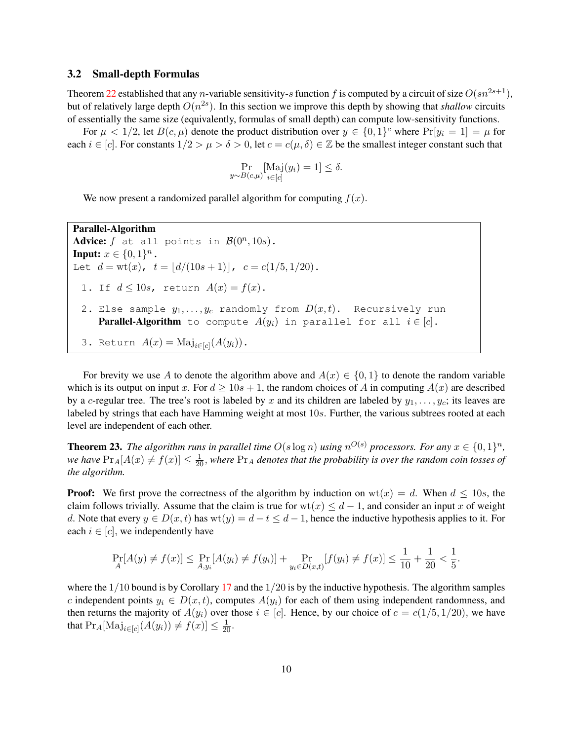#### <span id="page-10-0"></span>3.2 Small-depth Formulas

Theorem [22](#page-9-1) established that any *n*-variable sensitivity-s function f is computed by a circuit of size  $O(sn^{2s+1})$ , but of relatively large depth  $O(n^{2s})$ . In this section we improve this depth by showing that *shallow* circuits of essentially the same size (equivalently, formulas of small depth) can compute low-sensitivity functions.

For  $\mu < 1/2$ , let  $B(c, \mu)$  denote the product distribution over  $y \in \{0, 1\}^c$  where  $Pr[y_i = 1] = \mu$  for each  $i \in [c]$ . For constants  $1/2 > \mu > \delta > 0$ , let  $c = c(\mu, \delta) \in \mathbb{Z}$  be the smallest integer constant such that

$$
\Pr_{y \sim B(c,\mu)}[\text{Maj}(y_i) = 1] \le \delta.
$$

We now present a randomized parallel algorithm for computing  $f(x)$ .

Parallel-Algorithm Advice: f at all points in  $\mathcal{B}(0^n, 10s)$ . **Input:**  $x \in \{0, 1\}^n$ . Let  $d = wt(x)$ ,  $t = [d/(10s + 1)]$ ,  $c = c(1/5, 1/20)$ . 1. If  $d \le 10s$ , return  $A(x) = f(x)$ . 2. Else sample  $y_1, \ldots, y_c$  randomly from  $D(x,t)$ . Recursively run **Parallel-Algorithm** to compute  $A(y_i)$  in parallel for all  $i \in [c]$ . 3. Return  $A(x) = \text{Maj}_{i \in [c]}(A(y_i))$ .

For brevity we use A to denote the algorithm above and  $A(x) \in \{0, 1\}$  to denote the random variable which is its output on input x. For  $d \ge 10s + 1$ , the random choices of A in computing  $A(x)$  are described by a c-regular tree. The tree's root is labeled by x and its children are labeled by  $y_1, \ldots, y_c$ ; its leaves are labeled by strings that each have Hamming weight at most 10s. Further, the various subtrees rooted at each level are independent of each other.

**Theorem 23.** The algorithm runs in parallel time  $O(s \log n)$  using  $n^{O(s)}$  processors. For any  $x \in \{0,1\}^n$ , we have  $Pr_A[A(x) \neq f(x)] \leq \frac{1}{20}$ , where  $Pr_A$  denotes that the probability is over the random coin tosses of *the algorithm.*

**Proof:** We first prove the correctness of the algorithm by induction on  $wt(x) = d$ . When  $d \le 10s$ , the claim follows trivially. Assume that the claim is true for  $wt(x) \leq d-1$ , and consider an input x of weight d. Note that every  $y \in D(x, t)$  has  $wt(y) = d - t \leq d - 1$ , hence the inductive hypothesis applies to it. For each  $i \in [c]$ , we independently have

$$
\Pr_A[A(y) \neq f(x)] \le \Pr_{A,y_i}[A(y_i) \neq f(y_i)] + \Pr_{y_i \in D(x,t)}[f(y_i) \neq f(x)] \le \frac{1}{10} + \frac{1}{20} < \frac{1}{5}.
$$

where the  $1/10$  bound is by Corollary [17](#page-7-0) and the  $1/20$  is by the inductive hypothesis. The algorithm samples c independent points  $y_i \in D(x,t)$ , computes  $A(y_i)$  for each of them using independent randomness, and then returns the majority of  $A(y_i)$  over those  $i \in [c]$ . Hence, by our choice of  $c = c(1/5, 1/20)$ , we have that  $Pr_A[\text{Maj}_{i \in [c]}(A(y_i)) \neq f(x)] \leq \frac{1}{20}$ .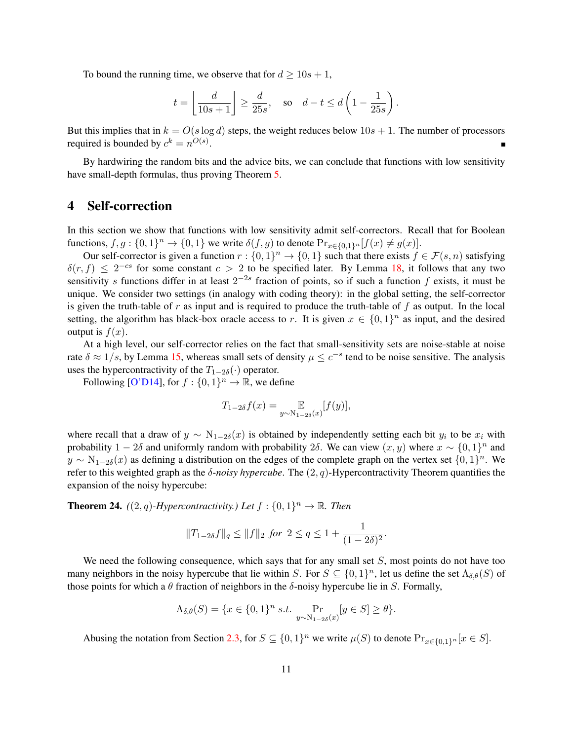To bound the running time, we observe that for  $d \ge 10s + 1$ ,

$$
t = \left\lfloor \frac{d}{10s + 1} \right\rfloor \ge \frac{d}{25s}
$$
, so  $d - t \le d \left( 1 - \frac{1}{25s} \right)$ .

But this implies that in  $k = O(s \log d)$  steps, the weight reduces below  $10s + 1$ . The number of processors required is bounded by  $c^k = n^{O(s)}$ .

By hardwiring the random bits and the advice bits, we can conclude that functions with low sensitivity have small-depth formulas, thus proving Theorem [5.](#page-3-1)

# <span id="page-11-1"></span>4 Self-correction

In this section we show that functions with low sensitivity admit self-correctors. Recall that for Boolean functions,  $f, g: \{0, 1\}^n \to \{0, 1\}$  we write  $\delta(f, g)$  to denote  $Pr_{x \in \{0, 1\}^n} [f(x) \neq g(x)]$ .

Our self-corrector is given a function  $r: \{0,1\}^n \to \{0,1\}$  such that there exists  $f \in \mathcal{F}(s,n)$  satisfying  $\delta(r, f) \leq 2^{-cs}$  for some constant  $c > 2$  to be specified later. By Lemma [18,](#page-8-0) it follows that any two sensitivity s functions differ in at least  $2^{-2s}$  fraction of points, so if such a function f exists, it must be unique. We consider two settings (in analogy with coding theory): in the global setting, the self-corrector is given the truth-table of r as input and is required to produce the truth-table of f as output. In the local setting, the algorithm has black-box oracle access to r. It is given  $x \in \{0,1\}^n$  as input, and the desired output is  $f(x)$ .

At a high level, our self-corrector relies on the fact that small-sensitivity sets are noise-stable at noise rate  $\delta \approx 1/s$ , by Lemma [15,](#page-6-0) whereas small sets of density  $\mu \leq c^{-s}$  tend to be noise sensitive. The analysis uses the hypercontractivity of the  $T_{1-2\delta}(\cdot)$  operator.

Following [\[O'D14\]](#page-20-7), for  $f: \{0, 1\}^n \to \mathbb{R}$ , we define

$$
T_{1-2\delta}f(x) = \mathop{\mathbb{E}}_{y \sim \mathcal{N}_{1-2\delta}(x)}[f(y)],
$$

where recall that a draw of  $y \sim N_{1-2\delta}(x)$  is obtained by independently setting each bit  $y_i$  to be  $x_i$  with probability  $1 - 2\delta$  and uniformly random with probability 2 $\delta$ . We can view  $(x, y)$  where  $x \sim \{0, 1\}^n$  and  $y \sim N_{1-2\delta}(x)$  as defining a distribution on the edges of the complete graph on the vertex set  $\{0,1\}^n$ . We refer to this weighted graph as the  $\delta$ -*noisy hypercube*. The  $(2, q)$ -Hypercontractivity Theorem quantifies the expansion of the noisy hypercube:

<span id="page-11-0"></span>**Theorem 24.**  $((2, q)$ -Hypercontractivity.) Let  $f : \{0, 1\}^n \to \mathbb{R}$ . Then

$$
||T_{1-2\delta}f||_q \le ||f||_2
$$
 for  $2 \le q \le 1 + \frac{1}{(1-2\delta)^2}$ .

We need the following consequence, which says that for any small set  $S$ , most points do not have too many neighbors in the noisy hypercube that lie within S. For  $S \subseteq \{0,1\}^n$ , let us define the set  $\Lambda_{\delta,\theta}(S)$  of those points for which a  $\theta$  fraction of neighbors in the  $\delta$ -noisy hypercube lie in S. Formally,

$$
\Lambda_{\delta,\theta}(S) = \{x \in \{0,1\}^n \text{ s.t. } \Pr_{y \sim N_{1-2\delta}(x)}[y \in S] \ge \theta\}.
$$

Abusing the notation from Section [2.3,](#page-7-1) for  $S \subseteq \{0,1\}^n$  we write  $\mu(S)$  to denote  $Pr_{x \in \{0,1\}^n}[x \in S]$ .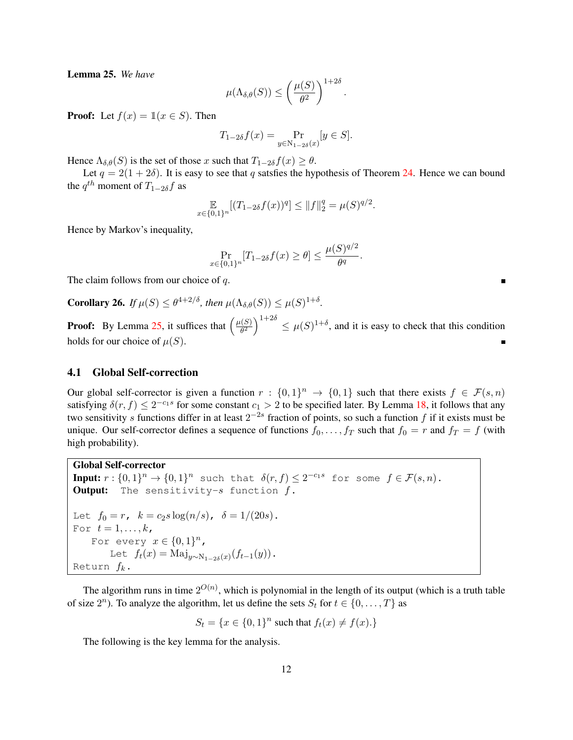<span id="page-12-0"></span>Lemma 25. *We have*

$$
\mu(\Lambda_{\delta,\theta}(S)) \le \left(\frac{\mu(S)}{\theta^2}\right)^{1+2\delta}
$$

.

**Proof:** Let  $f(x) = \mathbb{1}(x \in S)$ . Then

$$
T_{1-2\delta}f(x) = \Pr_{y \in N_{1-2\delta}(x)}[y \in S].
$$

Hence  $\Lambda_{\delta,\theta}(S)$  is the set of those x such that  $T_{1-2\delta}f(x) \geq \theta$ .

Let  $q = 2(1 + 2\delta)$ . It is easy to see that q satsfies the hypothesis of Theorem [24.](#page-11-0) Hence we can bound the  $q^{th}$  moment of  $T_{1-2\delta}f$  as

$$
\mathbb{E}_{x \in \{0,1\}^n} [(T_{1-2\delta}f(x))^q] \le ||f||_2^q = \mu(S)^{q/2}.
$$

Hence by Markov's inequality,

$$
\Pr_{x \in \{0,1\}^n} [T_{1-2\delta} f(x) \ge \theta] \le \frac{\mu(S)^{q/2}}{\theta^q}.
$$

The claim follows from our choice of q.

<span id="page-12-1"></span>**Corollary 26.** If  $\mu(S) \leq \theta^{4+2/\delta}$ , then  $\mu(\Lambda_{\delta,\theta}(S)) \leq \mu(S)^{1+\delta}$ .

**Proof:** By Lemma [25,](#page-12-0) it suffices that  $\left(\frac{\mu(S)}{\theta^2}\right)$  $\left(\frac{d(S)}{\theta^2}\right)^{1+2\delta} \leq \mu(S)^{1+\delta}$ , and it is easy to check that this condition holds for our choice of  $\mu(S)$ .

#### 4.1 Global Self-correction

Our global self-corrector is given a function  $r: \{0,1\}^n \to \{0,1\}$  such that there exists  $f \in \mathcal{F}(s,n)$ satisfying  $\delta(r, f) \leq 2^{-c_1 s}$  for some constant  $c_1 > 2$  to be specified later. By Lemma [18,](#page-8-0) it follows that any two sensitivity s functions differ in at least  $2^{-2s}$  fraction of points, so such a function f if it exists must be unique. Our self-corrector defines a sequence of functions  $f_0, \ldots, f_T$  such that  $f_0 = r$  and  $f_T = f$  (with high probability).

```
Global Self-corrector
```

```
Input: r: \{0,1\}^n \to \{0,1\}^n such that \delta(r, f) \leq 2^{-c_1 s} for some f \in \mathcal{F}(s, n).
Output: The sensitivity-s function f.
Let f_0 = r, k = c_2 s \log(n/s), \delta = 1/(20s).
For t=1,\ldots,k,
     For every x \in \{0,1\}^n,
          Let f_t(x) = \text{Maj}_{y \sim \text{N}_{1-2\delta}(x)}(f_{t-1}(y)).
Return f_k.
```
The algorithm runs in time  $2^{O(n)}$ , which is polynomial in the length of its output (which is a truth table of size  $2^n$ ). To analyze the algorithm, let us define the sets  $S_t$  for  $t \in \{0, ..., T\}$  as

 $S_t = \{x \in \{0, 1\}^n \text{ such that } f_t(x) \neq f(x) \}$ 

The following is the key lemma for the analysis.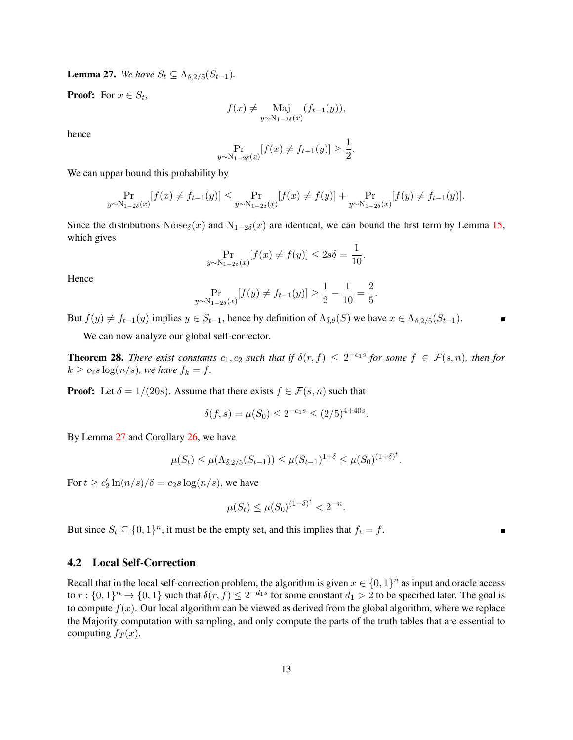<span id="page-13-0"></span>**Lemma 27.** We have  $S_t \subseteq \Lambda_{\delta, 2/5}(S_{t-1})$ .

**Proof:** For  $x \in S_t$ ,

$$
f(x) \neq \underset{y \sim \mathrm{N}_{1-2\delta}(x)}{\mathrm{Maj}} (f_{t-1}(y)),
$$

hence

$$
\Pr_{y \sim N_{1-2\delta}(x)}[f(x) \neq f_{t-1}(y)] \geq \frac{1}{2}.
$$

We can upper bound this probability by

$$
\Pr_{y \sim N_{1-2\delta}(x)}[f(x) \neq f_{t-1}(y)] \le \Pr_{y \sim N_{1-2\delta}(x)}[f(x) \neq f(y)] + \Pr_{y \sim N_{1-2\delta}(x)}[f(y) \neq f_{t-1}(y)].
$$

Since the distributions Noise<sub>δ</sub>(x) and N<sub>1−2δ</sub>(x) are identical, we can bound the first term by Lemma [15,](#page-6-0) which gives

$$
\Pr_{y \sim \mathcal{N}_{1-2\delta}(x)}[f(x) \neq f(y)] \le 2s\delta = \frac{1}{10}.
$$

Hence

$$
\Pr_{y \sim N_{1-2\delta}(x)}[f(y) \neq f_{t-1}(y)] \ge \frac{1}{2} - \frac{1}{10} = \frac{2}{5}.
$$

But  $f(y) \neq f_{t-1}(y)$  implies  $y \in S_{t-1}$ , hence by definition of  $\Lambda_{\delta,\theta}(S)$  we have  $x \in \Lambda_{\delta,2/5}(S_{t-1})$ .

We can now analyze our global self-corrector.

**Theorem 28.** *There exist constants*  $c_1, c_2$  *such that if*  $\delta(r, f) \leq 2^{-c_1 s}$  *for some*  $f \in \mathcal{F}(s, n)$ *, then for*  $k \geq c_2 s \log(n/s)$ *, we have*  $f_k = f$ *.* 

**Proof:** Let  $\delta = 1/(20s)$ . Assume that there exists  $f \in \mathcal{F}(s, n)$  such that

$$
\delta(f,s) = \mu(S_0) \le 2^{-c_1 s} \le (2/5)^{4+40s}.
$$

By Lemma [27](#page-13-0) and Corollary [26,](#page-12-1) we have

$$
\mu(S_t) \le \mu(\Lambda_{\delta, 2/5}(S_{t-1})) \le \mu(S_{t-1})^{1+\delta} \le \mu(S_0)^{(1+\delta)^t}.
$$

For  $t \ge c_2' \ln(n/s)/\delta = c_2 s \log(n/s)$ , we have

$$
\mu(S_t) \le \mu(S_0)^{(1+\delta)^t} < 2^{-n}.
$$

But since  $S_t \subseteq \{0,1\}^n$ , it must be the empty set, and this implies that  $f_t = f$ .

#### 4.2 Local Self-Correction

Recall that in the local self-correction problem, the algorithm is given  $x \in \{0,1\}^n$  as input and oracle access to  $r: \{0,1\}^n \to \{0,1\}$  such that  $\delta(r, f) \leq 2^{-d_1 s}$  for some constant  $d_1 > 2$  to be specified later. The goal is to compute  $f(x)$ . Our local algorithm can be viewed as derived from the global algorithm, where we replace the Majority computation with sampling, and only compute the parts of the truth tables that are essential to computing  $f_T(x)$ .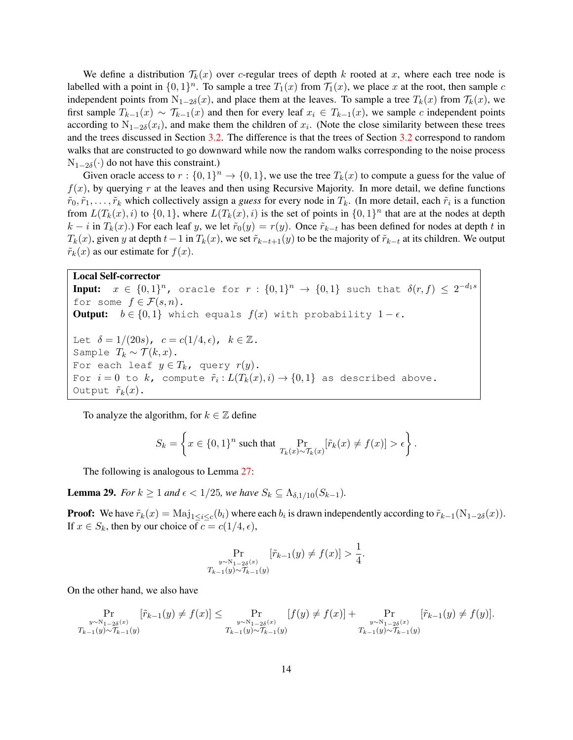We define a distribution  $\mathcal{T}_k(x)$  over c-regular trees of depth k rooted at x, where each tree node is labelled with a point in  $\{0,1\}^n$ . To sample a tree  $T_1(x)$  from  $\mathcal{T}_1(x)$ , we place x at the root, then sample c independent points from  $N_{1-2\delta}(x)$ , and place them at the leaves. To sample a tree  $T_k(x)$  from  $\mathcal{T}_k(x)$ , we first sample  $T_{k-1}(x) \sim T_{k-1}(x)$  and then for every leaf  $x_i \in T_{k-1}(x)$ , we sample c independent points according to  $N_{1-2\delta}(x_i)$ , and make them the children of  $x_i$ . (Note the close similarity between these trees and the trees discussed in Section [3.2.](#page-10-0) The difference is that the trees of Section [3.2](#page-10-0) correspond to random walks that are constructed to go downward while now the random walks corresponding to the noise process  $N_{1-2\delta}(\cdot)$  do not have this constraint.)

Given oracle access to  $r: \{0,1\}^n \to \{0,1\}$ , we use the tree  $T_k(x)$  to compute a guess for the value of  $f(x)$ , by querying r at the leaves and then using Recursive Majority. In more detail, we define functions  $\tilde{r}_0, \tilde{r}_1, \ldots, \tilde{r}_k$  which collectively assign a *guess* for every node in  $T_k$ . (In more detail, each  $\tilde{r}_i$  is a function from  $L(T_k(x), i)$  to  $\{0, 1\}$ , where  $L(T_k(x), i)$  is the set of points in  $\{0, 1\}^n$  that are at the nodes at depth  $k - i$  in  $T_k(x)$ .) For each leaf y, we let  $\tilde{r}_0(y) = r(y)$ . Once  $\tilde{r}_{k-t}$  has been defined for nodes at depth t in  $T_k(x)$ , given y at depth  $t-1$  in  $T_k(x)$ , we set  $\tilde{r}_{k-t+1}(y)$  to be the majority of  $\tilde{r}_{k-t}$  at its children. We output  $\tilde{r}_k(x)$  as our estimate for  $f(x)$ .

#### Local Self-corrector

Input:  $x \in \{0,1\}^n$ , oracle for  $r: \{0,1\}^n \rightarrow \{0,1\}$  such that  $\delta(r,f) \leq 2^{-d_1s}$ for some  $f \in \mathcal{F}(s,n)$ . **Output:**  $b \in \{0,1\}$  which equals  $f(x)$  with probability  $1-\epsilon$ . Let  $\delta = 1/(20s)$ ,  $c = c(1/4, \epsilon)$ ,  $k \in \mathbb{Z}$ . Sample  $T_k \sim \mathcal{T}(k, x)$ . For each leaf  $y \in T_k$ , query  $r(y)$ . For  $i=0$  to  $k$ , compute  $\tilde{r}_i: L(T_k(x), i) \to \{0,1\}$  as described above. Output  $\tilde{r}_k(x)$ .

To analyze the algorithm, for  $k \in \mathbb{Z}$  define

$$
S_k = \left\{ x \in \{0,1\}^n \text{ such that } \Pr_{T_k(x) \sim T_k(x)}[\tilde{r}_k(x) \neq f(x)] > \epsilon \right\}.
$$

The following is analogous to Lemma [27:](#page-13-0)

<span id="page-14-0"></span>**Lemma 29.** *For*  $k \ge 1$  *and*  $\epsilon < 1/25$ *, we have*  $S_k \subseteq \Lambda_{\delta,1/10}(S_{k-1})$ *.* 

**Proof:** We have  $\tilde{r}_k(x) = \text{Maj}_{1 \leq i \leq c}(b_i)$  where each  $b_i$  is drawn independently according to  $\tilde{r}_{k-1}(\text{N}_{1-2\delta}(x))$ . If  $x \in S_k$ , then by our choice of  $c = c(1/4, \epsilon)$ ,

$$
\Pr_{\substack{y \sim N_{1-2\delta}(x) \\ T_{k-1}(y) \sim T_{k-1}(y)}} [\tilde{r}_{k-1}(y) \neq f(x)] > \frac{1}{4}.
$$

On the other hand, we also have

$$
\Pr_{\substack{y \sim N_{1-2\delta}(x) \\ T_{k-1}(y) \sim T_{k-1}(y)}} [\tilde{r}_{k-1}(y) \neq f(x)] \le \Pr_{\substack{y \sim N_{1-2\delta}(x) \\ T_{k-1}(y) \sim T_{k-1}(y)}} [f(y) \neq f(x)] + \Pr_{\substack{y \sim N_{1-2\delta}(x) \\ T_{k-1}(y) \sim T_{k-1}(y)}} [\tilde{r}_{k-1}(y) \neq f(y)].
$$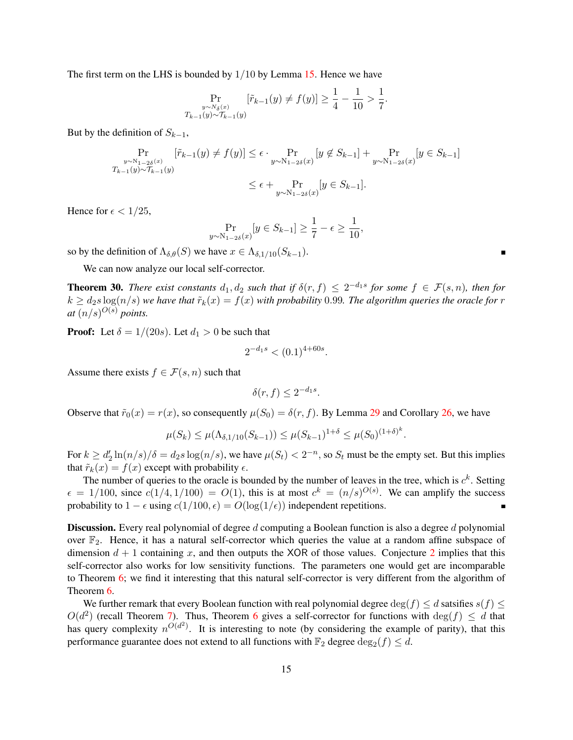The first term on the LHS is bounded by  $1/10$  by Lemma [15.](#page-6-0) Hence we have

$$
\Pr_{\substack{y \sim N_{\delta}(x) \\ T_{k-1}(y) \sim T_{k-1}(y)}} [\tilde{r}_{k-1}(y) \neq f(y)] \ge \frac{1}{4} - \frac{1}{10} > \frac{1}{7}.
$$

But by the definition of  $S_{k-1}$ ,

$$
\Pr_{\substack{y \sim N_{1-2\delta}(x) \\ T_{k-1}(y) \sim T_{k-1}(y)}} [\tilde{r}_{k-1}(y) \neq f(y)] \le \epsilon \cdot \Pr_{\substack{y \sim N_{1-2\delta}(x) \\ Y \sim N_{1-2\delta}(x)}} [y \notin S_{k-1}] + \Pr_{\substack{y \sim N_{1-2\delta}(x) \\ Y \sim N_{1-2\delta}(x)}} [y \in S_{k-1}]
$$

Hence for  $\epsilon < 1/25$ ,

$$
\Pr_{y \sim N_{1-2\delta}(x)}[y \in S_{k-1}] \ge \frac{1}{7} - \epsilon \ge \frac{1}{10},
$$

so by the definition of  $\Lambda_{\delta,\theta}(S)$  we have  $x \in \Lambda_{\delta,1/10}(S_{k-1})$ .

We can now analyze our local self-corrector.

**Theorem 30.** *There exist constants*  $d_1, d_2$  *such that if*  $\delta(r, f) \leq 2^{-d_1s}$  *for some*  $f \in \mathcal{F}(s, n)$ *, then for*  $k \geq d_2s \log(n/s)$  *we have that*  $\tilde{r}_k(x) = f(x)$  *with probability* 0.99*. The algorithm queries the oracle for* r *at*  $(n/s)^{O(s)}$  *points.* 

**Proof:** Let  $\delta = 1/(20s)$ . Let  $d_1 > 0$  be such that

$$
2^{-d_1s} < (0.1)^{4+60s}.
$$

Assume there exists  $f \in \mathcal{F}(s, n)$  such that

 $\delta(r, f) \leq 2^{-d_1 s}$ .

Observe that  $\tilde{r}_0(x) = r(x)$ , so consequently  $\mu(S_0) = \delta(r, f)$ . By Lemma [29](#page-14-0) and Corollary [26,](#page-12-1) we have

$$
\mu(S_k) \le \mu(\Lambda_{\delta,1/10}(S_{k-1})) \le \mu(S_{k-1})^{1+\delta} \le \mu(S_0)^{(1+\delta)^k}
$$

.

For  $k \ge d'_2 \ln(n/s)/\delta = d_2 s \log(n/s)$ , we have  $\mu(S_t) < 2^{-n}$ , so  $S_t$  must be the empty set. But this implies that  $\tilde{r}_k(x) = f(x)$  except with probability  $\epsilon$ .

The number of queries to the oracle is bounded by the number of leaves in the tree, which is  $c<sup>k</sup>$ . Setting  $\epsilon = 1/100$ , since  $c(1/4, 1/100) = O(1)$ , this is at most  $c^k = (n/s)^{O(s)}$ . We can amplify the success probability to  $1 - \epsilon$  using  $c(1/100, \epsilon) = O(\log(1/\epsilon))$  independent repetitions.

**Discussion.** Every real polynomial of degree d computing a Boolean function is also a degree d polynomial over  $\mathbb{F}_2$ . Hence, it has a natural self-corrector which queries the value at a random affine subspace of dimension  $d + 1$  containing x, and then outputs the XOR of those values. Conjecture [2](#page-2-0) implies that this self-corrector also works for low sensitivity functions. The parameters one would get are incomparable to Theorem [6;](#page-3-2) we find it interesting that this natural self-corrector is very different from the algorithm of Theorem [6.](#page-3-2)

We further remark that every Boolean function with real polynomial degree  $\deg(f) \leq d$  satsifies  $s(f) \leq d$  $O(d^2)$  (recall Theorem [7\)](#page-4-1). Thus, Theorem [6](#page-3-2) gives a self-corrector for functions with  $\deg(f) \leq d$  that has query complexity  $n^{O(d^2)}$ . It is interesting to note (by considering the example of parity), that this performance guarantee does not extend to all functions with  $\mathbb{F}_2$  degree  $\deg_2(f) \leq d$ .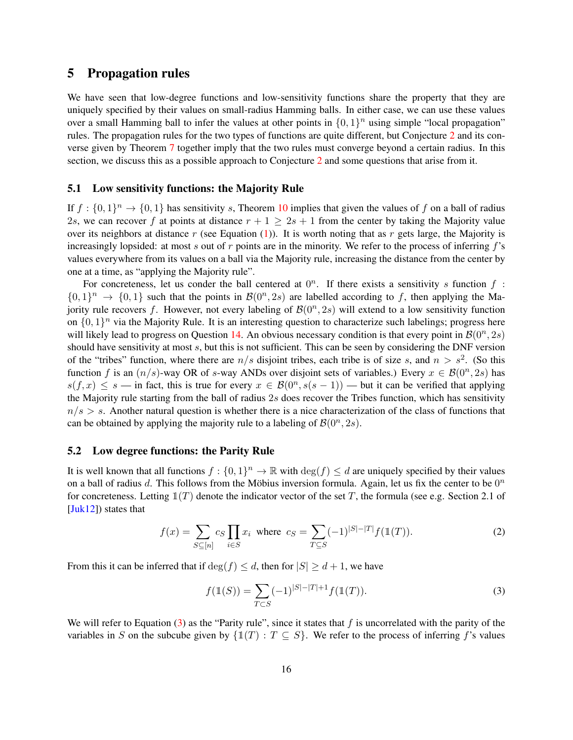### 5 Propagation rules

We have seen that low-degree functions and low-sensitivity functions share the property that they are uniquely specified by their values on small-radius Hamming balls. In either case, we can use these values over a small Hamming ball to infer the values at other points in  $\{0,1\}^n$  using simple "local propagation" rules. The propagation rules for the two types of functions are quite different, but Conjecture [2](#page-2-0) and its converse given by Theorem [7](#page-4-1) together imply that the two rules must converge beyond a certain radius. In this section, we discuss this as a possible approach to Conjecture [2](#page-2-0) and some questions that arise from it.

#### 5.1 Low sensitivity functions: the Majority Rule

If  $f: \{0,1\}^n \to \{0,1\}$  has sensitivity s, Theorem [10](#page-5-2) implies that given the values of f on a ball of radius 2s, we can recover f at points at distance  $r + 1 \ge 2s + 1$  from the center by taking the Majority value over its neighbors at distance r (see Equation [\(1\)](#page-5-1)). It is worth noting that as r gets large, the Majority is increasingly lopsided: at most s out of r points are in the minority. We refer to the process of inferring  $f$ 's values everywhere from its values on a ball via the Majority rule, increasing the distance from the center by one at a time, as "applying the Majority rule".

For concreteness, let us conder the ball centered at  $0<sup>n</sup>$ . If there exists a sensitivity s function f:  $\{0,1\}^n \rightarrow \{0,1\}$  such that the points in  $\mathcal{B}(0^n, 2s)$  are labelled according to f, then applying the Majority rule recovers f. However, not every labeling of  $\mathcal{B}(0^n, 2s)$  will extend to a low sensitivity function on  $\{0, 1\}^n$  via the Majority Rule. It is an interesting question to characterize such labelings; progress here will likely lead to progress on Question [14.](#page-6-1) An obvious necessary condition is that every point in  $\mathcal{B}(0^n, 2s)$ should have sensitivity at most s, but this is not sufficient. This can be seen by considering the DNF version of the "tribes" function, where there are  $n/s$  disjoint tribes, each tribe is of size s, and  $n > s^2$ . (So this function f is an  $(n/s)$ -way OR of s-way ANDs over disjoint sets of variables.) Every  $x \in \mathcal{B}(0^n, 2s)$  has  $s(f, x) \leq s$  — in fact, this is true for every  $x \in \mathcal{B}(0^n, s(s-1))$  — but it can be verified that applying the Majority rule starting from the ball of radius  $2s$  does recover the Tribes function, which has sensitivity  $n/s > s$ . Another natural question is whether there is a nice characterization of the class of functions that can be obtained by applying the majority rule to a labeling of  $\mathcal{B}(0^n, 2s)$ .

#### <span id="page-16-2"></span>5.2 Low degree functions: the Parity Rule

It is well known that all functions  $f: \{0,1\}^n \to \mathbb{R}$  with  $\deg(f) \leq d$  are uniquely specified by their values on a ball of radius d. This follows from the Möbius inversion formula. Again, let us fix the center to be  $0<sup>n</sup>$ for concreteness. Letting  $\mathbb{I}(T)$  denote the indicator vector of the set T, the formula (see e.g. Section 2.1 of [\[Juk12\]](#page-20-11)) states that

$$
f(x) = \sum_{S \subseteq [n]} c_S \prod_{i \in S} x_i \text{ where } c_S = \sum_{T \subseteq S} (-1)^{|S| - |T|} f(\mathbb{1}(T)).
$$
 (2)

From this it can be inferred that if  $\deg(f) \leq d$ , then for  $|S| \geq d+1$ , we have

<span id="page-16-1"></span><span id="page-16-0"></span>
$$
f(\mathbb{1}(S)) = \sum_{T \subset S} (-1)^{|S| - |T| + 1} f(\mathbb{1}(T)).
$$
\n(3)

We will refer to Equation [\(3\)](#page-16-0) as the "Parity rule", since it states that f is uncorrelated with the parity of the variables in S on the subcube given by  $\{1\mid T\mid T \subseteq S\}$ . We refer to the process of inferring f's values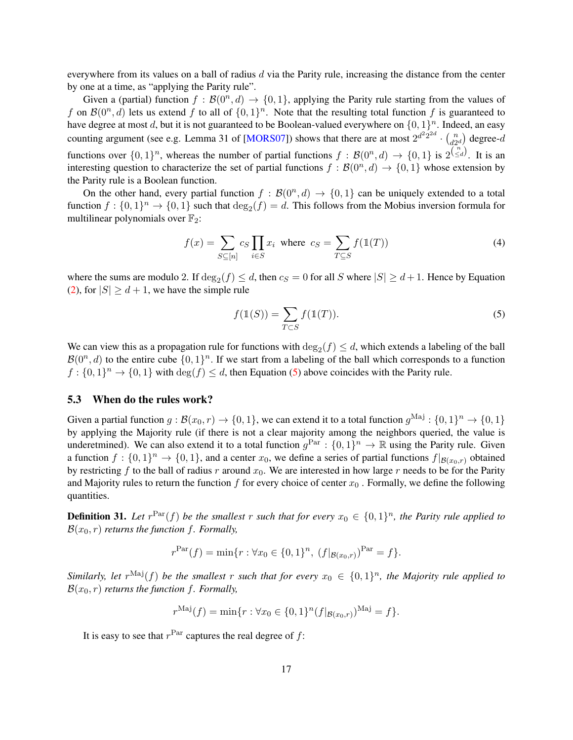everywhere from its values on a ball of radius  $d$  via the Parity rule, increasing the distance from the center by one at a time, as "applying the Parity rule".

Given a (partial) function  $f : \mathcal{B}(0^n, d) \to \{0, 1\}$ , applying the Parity rule starting from the values of f on  $\mathcal{B}(0^n, d)$  lets us extend f to all of  $\{0, 1\}^n$ . Note that the resulting total function f is guaranteed to have degree at most d, but it is not guaranteed to be Boolean-valued everywhere on  $\{0, 1\}^n$ . Indeed, an easy counting argument (see e.g. Lemma 31 of [\[MORS07\]](#page-20-12)) shows that there are at most  $2^{d^2 2^{2d}} \cdot {n \choose d^2}$  $\binom{n}{d2^d}$  degree- $d$ functions over  $\{0,1\}^n$ , whereas the number of partial functions  $f : \mathcal{B}(0^n, d) \to \{0,1\}$  is  $2^{(\frac{n}{\leq d})}$ . It is an interesting question to characterize the set of partial functions  $f : B(0^n, d) \to \{0, 1\}$  whose extension by the Parity rule is a Boolean function.

On the other hand, every partial function  $f : B(0^n, d) \to \{0, 1\}$  can be uniquely extended to a total function  $f: \{0,1\}^n \to \{0,1\}$  such that  $\deg_2(f) = d$ . This follows from the Mobius inversion formula for multilinear polynomials over  $\mathbb{F}_2$ :

$$
f(x) = \sum_{S \subseteq [n]} c_S \prod_{i \in S} x_i \text{ where } c_S = \sum_{T \subseteq S} f(\mathbb{1}(T))
$$
 (4)

where the sums are modulo 2. If  $\deg_2(f) \leq d$ , then  $c_S = 0$  for all S where  $|S| \geq d+1$ . Hence by Equation [\(2\)](#page-16-1), for  $|S| \ge d + 1$ , we have the simple rule

<span id="page-17-0"></span>
$$
f(\mathbb{1}(S)) = \sum_{T \subset S} f(\mathbb{1}(T)).
$$
\n<sup>(5)</sup>

We can view this as a propagation rule for functions with  $\deg_2(f) \leq d$ , which extends a labeling of the ball  $\mathcal{B}(0^n, d)$  to the entire cube  $\{0, 1\}^n$ . If we start from a labeling of the ball which corresponds to a function  $f: \{0,1\}^n \to \{0,1\}$  with  $\deg(f) \leq d$ , then Equation [\(5\)](#page-17-0) above coincides with the Parity rule.

#### 5.3 When do the rules work?

Given a partial function  $g: B(x_0,r) \to \{0,1\}$ , we can extend it to a total function  $g^{\text{Maj}}: \{0,1\}^n \to \{0,1\}$ by applying the Majority rule (if there is not a clear majority among the neighbors queried, the value is underetmined). We can also extend it to a total function  $g<sup>Par</sup> : \{0,1\}<sup>n</sup> \to \mathbb{R}$  using the Parity rule. Given a function  $f: \{0,1\}^n \to \{0,1\}$ , and a center  $x_0$ , we define a series of partial functions  $f|_{\mathcal{B}(x_0,r)}$  obtained by restricting f to the ball of radius r around  $x_0$ . We are interested in how large r needs to be for the Parity and Majority rules to return the function f for every choice of center  $x_0$ . Formally, we define the following quantities.

**Definition 31.** Let  $r^{\text{Par}}(f)$  be the smallest r such that for every  $x_0 \in \{0,1\}^n$ , the Parity rule applied to  $\mathcal{B}(x_0, r)$  *returns the function f. Formally,* 

$$
r^{\text{Par}}(f) = \min\{r : \forall x_0 \in \{0, 1\}^n, \ (f|_{\mathcal{B}(x_0, r)})^{\text{Par}} = f\}.
$$

Similarly, let  $r^{\text{Maj}}(f)$  be the smallest  $r$  such that for every  $x_0 \in \{0,1\}^n$ , the Majority rule applied to  $\mathcal{B}(x_0, r)$  *returns the function f. Formally,* 

$$
r^{\text{Maj}}(f) = \min\{r : \forall x_0 \in \{0, 1\}^n (f|_{\mathcal{B}(x_0, r)})^{\text{Maj}} = f\}.
$$

It is easy to see that  $r<sup>Par</sup>$  captures the real degree of  $f$ :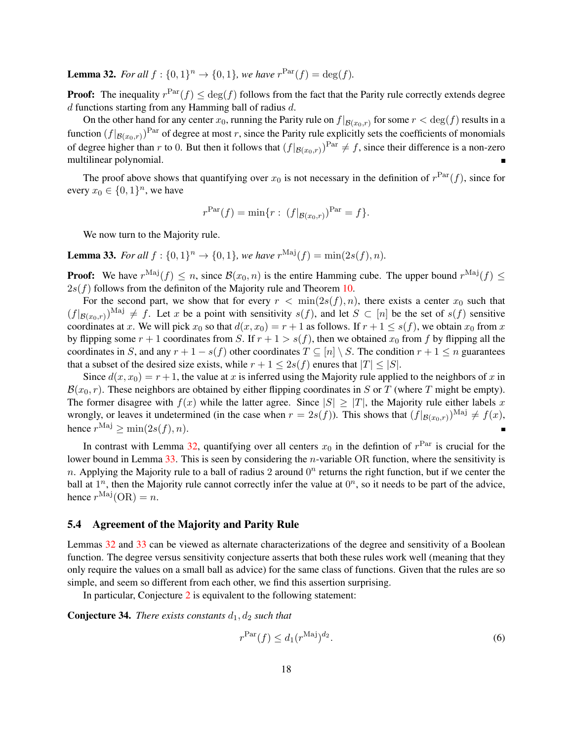<span id="page-18-0"></span>**Lemma 32.** For all  $f : \{0, 1\}^n \to \{0, 1\}$ , we have  $r^{\text{Par}}(f) = \deg(f)$ .

**Proof:** The inequality  $r^{\text{Par}}(f) \leq \text{deg}(f)$  follows from the fact that the Parity rule correctly extends degree  $d$  functions starting from any Hamming ball of radius  $d$ .

On the other hand for any center  $x_0$ , running the Parity rule on  $f|_{\mathcal{B}(x_0,r)}$  for some  $r < \deg(f)$  results in a function  $(f|_{\mathcal{B}(x_0,r)})^{\text{Par}}$  of degree at most r, since the Parity rule explicitly sets the coefficients of monomials of degree higher than r to 0. But then it follows that  $(f|_{\mathcal{B}(x_0,r)})^{\text{Par}} \neq f$ , since their difference is a non-zero multilinear polynomial.

The proof above shows that quantifying over  $x_0$  is not necessary in the definition of  $r<sup>Par</sup>(f)$ , since for every  $x_0 \in \{0, 1\}^n$ , we have

$$
r^{\text{Par}}(f) = \min\{r : (f|_{\mathcal{B}(x_0,r)})^{\text{Par}} = f\}.
$$

We now turn to the Majority rule.

<span id="page-18-1"></span>**Lemma 33.** *For all*  $f : \{0, 1\}^n \to \{0, 1\}$ *, we have*  $r^{\text{Maj}}(f) = \min(2s(f), n)$ *.* 

**Proof:** We have  $r^{\text{Maj}}(f) \leq n$ , since  $\mathcal{B}(x_0, n)$  is the entire Hamming cube. The upper bound  $r^{\text{Maj}}(f) \leq$  $2s(f)$  follows from the definiton of the Majority rule and Theorem [10.](#page-5-2)

For the second part, we show that for every  $r < \min(2s(f), n)$ , there exists a center  $x_0$  such that  $(f|_{\mathcal{B}(x_0,r)})^{\text{Maj}} \neq f$ . Let x be a point with sensitivity  $s(f)$ , and let  $S \subset [n]$  be the set of  $s(f)$  sensitive coordinates at x. We will pick  $x_0$  so that  $d(x, x_0) = r + 1$  as follows. If  $r + 1 \leq s(f)$ , we obtain  $x_0$  from x by flipping some  $r + 1$  coordinates from S. If  $r + 1 > s(f)$ , then we obtained  $x_0$  from f by flipping all the coordinates in S, and any  $r + 1 - s(f)$  other coordinates  $T \subseteq [n] \setminus S$ . The condition  $r + 1 \le n$  guarantees that a subset of the desired size exists, while  $r + 1 \leq 2s(f)$  enures that  $|T| \leq |S|$ .

Since  $d(x, x_0) = r + 1$ , the value at x is inferred using the Majority rule applied to the neighbors of x in  $\mathcal{B}(x_0, r)$ . These neighbors are obtained by either flipping coordinates in S or T (where T might be empty). The former disagree with  $f(x)$  while the latter agree. Since  $|S| \geq |T|$ , the Majority rule either labels x wrongly, or leaves it undetermined (in the case when  $r = 2s(f)$ ). This shows that  $(f|_{\mathcal{B}(x_0,r)})^{\text{Maj}} \neq f(x)$ , hence  $r^{\text{Maj}} \ge \min(2s(f), n)$ .

In contrast with Lemma [32,](#page-18-0) quantifying over all centers  $x_0$  in the defintion of  $r<sup>Par</sup>$  is crucial for the lower bound in Lemma [33.](#page-18-1) This is seen by considering the *n*-variable OR function, where the sensitivity is n. Applying the Majority rule to a ball of radius 2 around  $0<sup>n</sup>$  returns the right function, but if we center the ball at  $1^n$ , then the Majority rule cannot correctly infer the value at  $0^n$ , so it needs to be part of the advice, hence  $r^{\text{Maj}}(\text{OR}) = n$ .

#### 5.4 Agreement of the Majority and Parity Rule

Lemmas [32](#page-18-0) and [33](#page-18-1) can be viewed as alternate characterizations of the degree and sensitivity of a Boolean function. The degree versus sensitivity conjecture asserts that both these rules work well (meaning that they only require the values on a small ball as advice) for the same class of functions. Given that the rules are so simple, and seem so different from each other, we find this assertion surprising.

In particular, Conjecture [2](#page-2-0) is equivalent to the following statement:

**Conjecture 34.** *There exists constants*  $d_1$ ,  $d_2$  *such that* 

<span id="page-18-2"></span>
$$
r^{\text{Par}}(f) \le d_1(r^{\text{Maj}})^{d_2}.\tag{6}
$$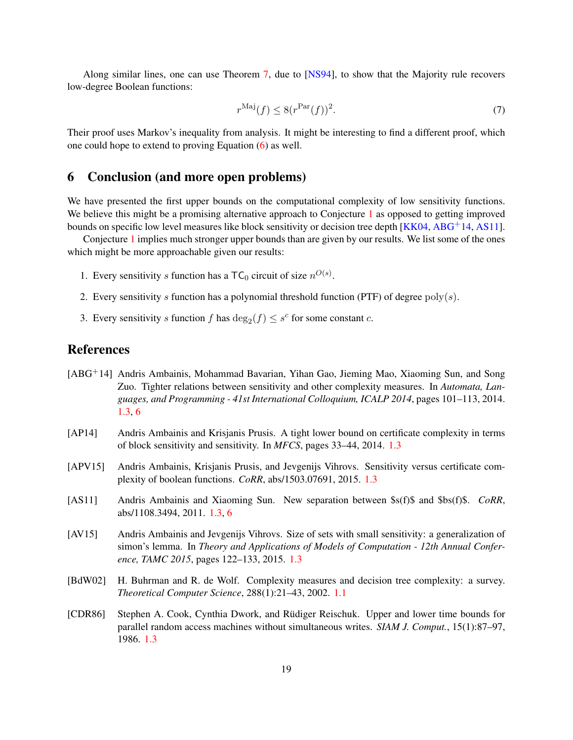Along similar lines, one can use Theorem [7,](#page-4-1) due to [\[NS94\]](#page-20-1), to show that the Majority rule recovers low-degree Boolean functions:

$$
r^{\text{Maj}}(f) \le 8(r^{\text{Par}}(f))^2. \tag{7}
$$

Their proof uses Markov's inequality from analysis. It might be interesting to find a different proof, which one could hope to extend to proving Equation [\(6\)](#page-18-2) as well.

### <span id="page-19-7"></span>6 Conclusion (and more open problems)

We have presented the first upper bounds on the computational complexity of low sensitivity functions. We believe this might be a promising alternative approach to Conjecture [1](#page-1-0) as opposed to getting improved bounds on specific low level measures like block sensitivity or decision tree depth [\[KK04,](#page-20-9) [ABG](#page-19-3)+14, [AS11\]](#page-19-2).

Conjecture [1](#page-1-0) implies much stronger upper bounds than are given by our results. We list some of the ones which might be more approachable given our results:

- 1. Every sensitivity s function has a  $TC_0$  circuit of size  $n^{O(s)}$ .
- 2. Every sensitivity s function has a polynomial threshold function (PTF) of degree  $poly(s)$ .
- 3. Every sensitivity s function f has  $\deg_2(f) \leq s^c$  for some constant c.

# References

- <span id="page-19-3"></span>[ABG+14] Andris Ambainis, Mohammad Bavarian, Yihan Gao, Jieming Mao, Xiaoming Sun, and Song Zuo. Tighter relations between sensitivity and other complexity measures. In *Automata, Languages, and Programming - 41st International Colloquium, ICALP 2014*, pages 101–113, 2014. [1.3,](#page-4-0) [6](#page-19-7)
- <span id="page-19-4"></span>[AP14] Andris Ambainis and Krisjanis Prusis. A tight lower bound on certificate complexity in terms of block sensitivity and sensitivity. In *MFCS*, pages 33–44, 2014. [1.3](#page-4-0)
- <span id="page-19-5"></span>[APV15] Andris Ambainis, Krisjanis Prusis, and Jevgenijs Vihrovs. Sensitivity versus certificate complexity of boolean functions. *CoRR*, abs/1503.07691, 2015. [1.3](#page-4-0)
- <span id="page-19-2"></span>[AS11] Andris Ambainis and Xiaoming Sun. New separation between \$s(f)\$ and \$bs(f)\$. *CoRR*, abs/1108.3494, 2011. [1.3,](#page-4-0) [6](#page-19-7)
- <span id="page-19-6"></span>[AV15] Andris Ambainis and Jevgenijs Vihrovs. Size of sets with small sensitivity: a generalization of simon's lemma. In *Theory and Applications of Models of Computation - 12th Annual Conference, TAMC 2015*, pages 122–133, 2015. [1.3](#page-4-0)
- <span id="page-19-0"></span>[BdW02] H. Buhrman and R. de Wolf. Complexity measures and decision tree complexity: a survey. *Theoretical Computer Science*, 288(1):21–43, 2002. [1.1](#page-1-0)
- <span id="page-19-1"></span>[CDR86] Stephen A. Cook, Cynthia Dwork, and Rüdiger Reischuk. Upper and lower time bounds for parallel random access machines without simultaneous writes. *SIAM J. Comput.*, 15(1):87–97, 1986. [1.3](#page-4-0)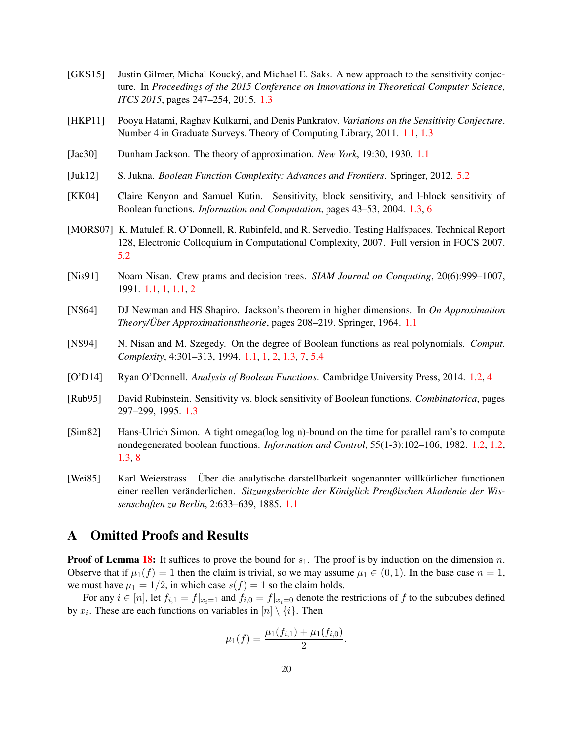- <span id="page-20-10"></span>[GKS15] Justin Gilmer, Michal Koucky, and Michael E. Saks. A new approach to the sensitivity conjec- ´ ture. In *Proceedings of the 2015 Conference on Innovations in Theoretical Computer Science, ITCS 2015*, pages 247–254, 2015. [1.3](#page-4-0)
- <span id="page-20-2"></span>[HKP11] Pooya Hatami, Raghav Kulkarni, and Denis Pankratov. *Variations on the Sensitivity Conjecture*. Number 4 in Graduate Surveys. Theory of Computing Library, 2011. [1.1,](#page-1-0) [1.3](#page-4-0)
- <span id="page-20-4"></span>[Jac30] Dunham Jackson. The theory of approximation. *New York*, 19:30, 1930. [1.1](#page-2-0)
- <span id="page-20-11"></span>[Juk12] S. Jukna. *Boolean Function Complexity: Advances and Frontiers*. Springer, 2012. [5.2](#page-16-2)
- <span id="page-20-9"></span>[KK04] Claire Kenyon and Samuel Kutin. Sensitivity, block sensitivity, and l-block sensitivity of Boolean functions. *Information and Computation*, pages 43–53, 2004. [1.3,](#page-4-0) [6](#page-19-7)
- <span id="page-20-12"></span>[MORS07] K. Matulef, R. O'Donnell, R. Rubinfeld, and R. Servedio. Testing Halfspaces. Technical Report 128, Electronic Colloquium in Computational Complexity, 2007. Full version in FOCS 2007. [5.2](#page-16-0)
- <span id="page-20-0"></span>[Nis91] Noam Nisan. Crew prams and decision trees. *SIAM Journal on Computing*, 20(6):999–1007, 1991. [1.1,](#page-1-1) [1,](#page-1-0) [1.1,](#page-1-0) [2](#page-2-0)
- <span id="page-20-5"></span>[NS64] DJ Newman and HS Shapiro. Jackson's theorem in higher dimensions. In *On Approximation Theory/Über Approximationstheorie*, pages 208–219. Springer, 1964. [1.1](#page-2-0)
- <span id="page-20-1"></span>[NS94] N. Nisan and M. Szegedy. On the degree of Boolean functions as real polynomials. *Comput. Complexity*, 4:301–313, 1994. [1.1,](#page-1-1) [1,](#page-1-0) [2,](#page-2-0) [1.3,](#page-4-0) [7,](#page-4-1) [5.4](#page-18-2)
- <span id="page-20-7"></span>[O'D14] Ryan O'Donnell. *Analysis of Boolean Functions*. Cambridge University Press, 2014. [1.2,](#page-3-2) [4](#page-11-1)
- <span id="page-20-8"></span>[Rub95] David Rubinstein. Sensitivity vs. block sensitivity of Boolean functions. *Combinatorica*, pages 297–299, 1995. [1.3](#page-4-0)
- <span id="page-20-6"></span>[Sim82] Hans-Ulrich Simon. A tight omega(log log n)-bound on the time for parallel ram's to compute nondegenerated boolean functions. *Information and Control*, 55(1-3):102–106, 1982. [1.2,](#page-3-0) [1.2,](#page-3-1) [1.3,](#page-4-0) [8](#page-4-2)
- <span id="page-20-3"></span>[Wei85] Karl Weierstrass. Über die analytische darstellbarkeit sogenannter willkürlicher functionen einer reellen veranderlichen. ¨ *Sitzungsberichte der Koniglich Preußischen Akademie der Wis- ¨ senschaften zu Berlin*, 2:633–639, 1885. [1.1](#page-2-0)

### A Omitted Proofs and Results

**Proof of Lemma [18:](#page-8-0)** It suffices to prove the bound for  $s_1$ . The proof is by induction on the dimension n. Observe that if  $\mu_1(f) = 1$  then the claim is trivial, so we may assume  $\mu_1 \in (0, 1)$ . In the base case  $n = 1$ , we must have  $\mu_1 = 1/2$ , in which case  $s(f) = 1$  so the claim holds.

For any  $i \in [n]$ , let  $f_{i,1} = f|_{x_i=1}$  and  $f_{i,0} = f|_{x_i=0}$  denote the restrictions of f to the subcubes defined by  $x_i$ . These are each functions on variables in  $[n] \setminus \{i\}$ . Then

$$
\mu_1(f) = \frac{\mu_1(f_{i,1}) + \mu_1(f_{i,0})}{2}.
$$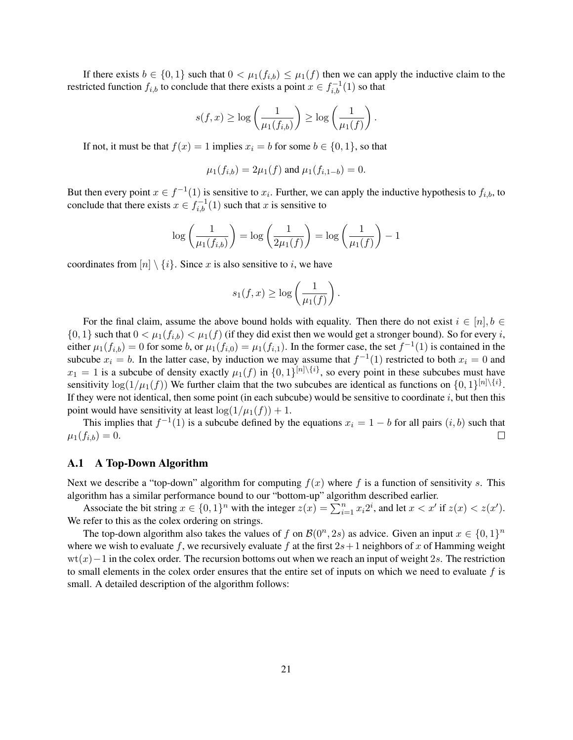If there exists  $b \in \{0,1\}$  such that  $0 < \mu_1(f_{i,b}) \leq \mu_1(f)$  then we can apply the inductive claim to the restricted function  $f_{i,b}$  to conclude that there exists a point  $x \in f_{i,b}^{-1}(1)$  so that

$$
s(f,x)\geq \log\left(\frac{1}{\mu_1(f_{i,b})}\right)\geq \log\left(\frac{1}{\mu_1(f)}\right).
$$

If not, it must be that  $f(x) = 1$  implies  $x_i = b$  for some  $b \in \{0, 1\}$ , so that

$$
\mu_1(f_{i,b}) = 2\mu_1(f)
$$
 and  $\mu_1(f_{i,1-b}) = 0$ .

But then every point  $x \in f^{-1}(1)$  is sensitive to  $x_i$ . Further, we can apply the inductive hypothesis to  $f_{i,b}$ , to conclude that there exists  $x \in f_{i,b}^{-1}(1)$  such that x is sensitive to

$$
\log\left(\frac{1}{\mu_1(f_{i,b})}\right) = \log\left(\frac{1}{2\mu_1(f)}\right) = \log\left(\frac{1}{\mu_1(f)}\right) - 1
$$

coordinates from  $[n] \setminus \{i\}$ . Since x is also sensitive to i, we have

$$
s_1(f,x) \ge \log\left(\frac{1}{\mu_1(f)}\right).
$$

For the final claim, assume the above bound holds with equality. Then there do not exist  $i \in [n], b \in$  $\{0,1\}$  such that  $0 < \mu_1(f_{i,b}) < \mu_1(f)$  (if they did exist then we would get a stronger bound). So for every *i*, either  $\mu_1(f_{i,b}) = 0$  for some b, or  $\mu_1(f_{i,0}) = \mu_1(f_{i,1})$ . In the former case, the set  $f^{-1}(1)$  is contained in the subcube  $x_i = b$ . In the latter case, by induction we may assume that  $f^{-1}(1)$  restricted to both  $x_i = 0$  and  $x_1 = 1$  is a subcube of density exactly  $\mu_1(f)$  in  $\{0, 1\}^{[n] \setminus \{i\}}$ , so every point in these subcubes must have sensitivity  $\log(1/\mu_1(f))$  We further claim that the two subcubes are identical as functions on  $\{0,1\}^{[n]\setminus\{i\}}$ . If they were not identical, then some point (in each subcube) would be sensitive to coordinate  $i$ , but then this point would have sensitivity at least  $\log(1/\mu_1(f)) + 1$ .

This implies that  $f^{-1}(1)$  is a subcube defined by the equations  $x_i = 1 - b$  for all pairs  $(i, b)$  such that  $\mu_1(f_{i,b}) = 0.$  $\Box$ 

#### A.1 A Top-Down Algorithm

Next we describe a "top-down" algorithm for computing  $f(x)$  where f is a function of sensitivity s. This algorithm has a similar performance bound to our "bottom-up" algorithm described earlier.

Associate the bit string  $x \in \{0,1\}^n$  with the integer  $z(x) = \sum_{i=1}^n x_i 2^i$ , and let  $x < x'$  if  $z(x) < z(x')$ . We refer to this as the colex ordering on strings.

The top-down algorithm also takes the values of f on  $\mathcal{B}(0^n, 2s)$  as advice. Given an input  $x \in \{0, 1\}^n$ where we wish to evaluate f, we recursively evaluate f at the first  $2s+1$  neighbors of x of Hamming weight  $wt(x)-1$  in the colex order. The recursion bottoms out when we reach an input of weight 2s. The restriction to small elements in the colex order ensures that the entire set of inputs on which we need to evaluate  $f$  is small. A detailed description of the algorithm follows: